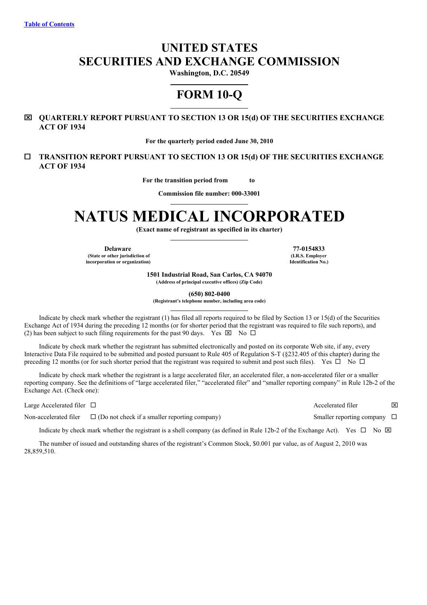# <span id="page-0-0"></span>**UNITED STATES SECURITIES AND EXCHANGE COMMISSION**

**Washington, D.C. 20549**

## **FORM 10-Q**

## x **QUARTERLY REPORT PURSUANT TO SECTION 13 OR 15(d) OF THE SECURITIES EXCHANGE ACT OF 1934**

**For the quarterly period ended June 30, 2010**

¨ **TRANSITION REPORT PURSUANT TO SECTION 13 OR 15(d) OF THE SECURITIES EXCHANGE ACT OF 1934**

**For the transition period from to**

**Commission file number: 000-33001**

# **NATUS MEDICAL INCORPORATED**

**(Exact name of registrant as specified in its charter)**

**Delaware 77-0154833 (State or other jurisdiction of incorporation or organization)**

**(I.R.S. Employer Identification No.)**

**1501 Industrial Road, San Carlos, CA 94070 (Address of principal executive offices) (Zip Code)**

**(650) 802-0400**

**(Registrant's telephone number, including area code)**

Indicate by check mark whether the registrant (1) has filed all reports required to be filed by Section 13 or 15(d) of the Securities Exchange Act of 1934 during the preceding 12 months (or for shorter period that the registrant was required to file such reports), and (2) has been subject to such filing requirements for the past 90 days. Yes  $\boxtimes$  No  $\Box$ 

Indicate by check mark whether the registrant has submitted electronically and posted on its corporate Web site, if any, every Interactive Data File required to be submitted and posted pursuant to Rule 405 of Regulation S-T (§232.405 of this chapter) during the preceding 12 months (or for such shorter period that the registrant was required to submit and post such files). Yes  $\Box$  No  $\Box$ 

Indicate by check mark whether the registrant is a large accelerated filer, an accelerated filer, a non-accelerated filer or a smaller reporting company. See the definitions of "large accelerated filer," "accelerated filer" and "smaller reporting company" in Rule 12b-2 of the Exchange Act. (Check one):

Large Accelerated filer  $\Box$ Non-accelerated filer  $\square$  (Do not check if a smaller reporting company) Smaller reporting company  $\square$ 

Indicate by check mark whether the registrant is a shell company (as defined in Rule 12b-2 of the Exchange Act). Yes  $\Box$  No  $\boxtimes$ 

The number of issued and outstanding shares of the registrant's Common Stock, \$0.001 par value, as of August 2, 2010 was 28,859,510.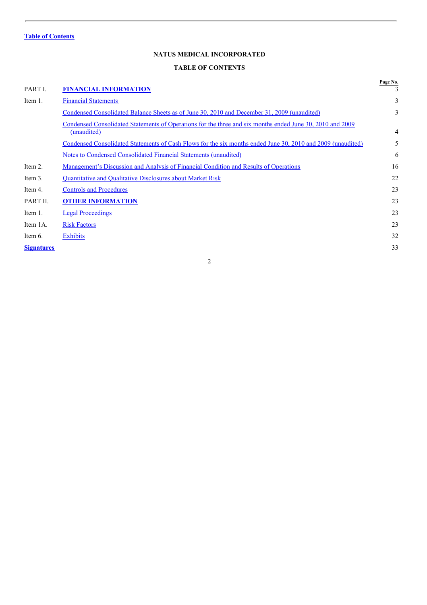## **NATUS MEDICAL INCORPORATED**

## **TABLE OF CONTENTS**

| PART I.           | <b>FINANCIAL INFORMATION</b>                                                                                             | Page No.<br>3 |
|-------------------|--------------------------------------------------------------------------------------------------------------------------|---------------|
| Item 1.           | <b>Financial Statements</b>                                                                                              | 3             |
|                   | Condensed Consolidated Balance Sheets as of June 30, 2010 and December 31, 2009 (unaudited)                              | 3             |
|                   | Condensed Consolidated Statements of Operations for the three and six months ended June 30, 2010 and 2009<br>(unaudited) | 4             |
|                   | Condensed Consolidated Statements of Cash Flows for the six months ended June 30, 2010 and 2009 (unaudited)              | 5             |
|                   | Notes to Condensed Consolidated Financial Statements (unaudited)                                                         | 6             |
| Item 2.           | <u>Management's Discussion and Analysis of Financial Condition and Results of Operations</u>                             | 16            |
| Item 3.           | <b>Quantitative and Qualitative Disclosures about Market Risk</b>                                                        | 22            |
| Item 4.           | <b>Controls and Procedures</b>                                                                                           | 23            |
| PART II.          | <b>OTHER INFORMATION</b>                                                                                                 | 23            |
| Item 1.           | <b>Legal Proceedings</b>                                                                                                 | 23            |
| Item 1A.          | <b>Risk Factors</b>                                                                                                      | 23            |
| Item 6.           | <b>Exhibits</b>                                                                                                          | 32            |
| <b>Signatures</b> |                                                                                                                          | 33            |
|                   | 2                                                                                                                        |               |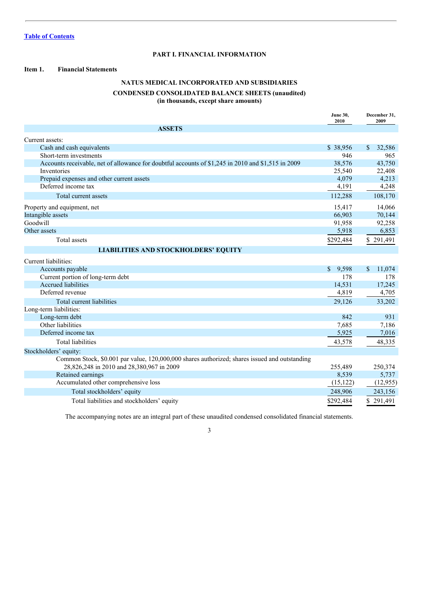## **PART I. FINANCIAL INFORMATION**

## **Item 1. Financial Statements**

## **NATUS MEDICAL INCORPORATED AND SUBSIDIARIES CONDENSED CONSOLIDATED BALANCE SHEETS (unaudited) (in thousands, except share amounts)**

|                                                                                                    | <b>June 30,</b><br>2010 | December 31,<br>2009   |
|----------------------------------------------------------------------------------------------------|-------------------------|------------------------|
| <b>ASSETS</b>                                                                                      |                         |                        |
| Current assets:                                                                                    |                         |                        |
| Cash and cash equivalents                                                                          | \$ 38,956               | $\mathbb{S}$<br>32,586 |
| Short-term investments                                                                             | 946                     | 965                    |
| Accounts receivable, net of allowance for doubtful accounts of \$1,245 in 2010 and \$1,515 in 2009 | 38,576                  | 43,750                 |
| Inventories                                                                                        | 25,540                  | 22,408                 |
| Prepaid expenses and other current assets                                                          | 4,079                   | 4,213                  |
| Deferred income tax                                                                                | 4,191                   | 4,248                  |
| Total current assets                                                                               | 112,288                 | 108,170                |
| Property and equipment, net                                                                        | 15,417                  | 14,066                 |
| Intangible assets                                                                                  | 66,903                  | 70,144                 |
| Goodwill                                                                                           | 91,958                  | 92,258                 |
| Other assets                                                                                       | 5,918                   | 6,853                  |
| Total assets                                                                                       | \$292,484               | \$291,491              |
| <b>LIABILITIES AND STOCKHOLDERS' EQUITY</b>                                                        |                         |                        |
| Current liabilities:                                                                               |                         |                        |
| Accounts payable                                                                                   | $\mathbb{S}$<br>9,598   | \$<br>11,074           |
| Current portion of long-term debt                                                                  | 178                     | 178                    |
| <b>Accrued liabilities</b>                                                                         | 14,531                  | 17,245                 |
| Deferred revenue                                                                                   | 4,819                   | 4,705                  |
| Total current liabilities                                                                          | 29,126                  | 33,202                 |
| Long-term liabilities:                                                                             |                         |                        |
| Long-term debt                                                                                     | 842                     | 931                    |
| Other liabilities                                                                                  | 7.685                   | 7,186                  |
| Deferred income tax                                                                                | 5,925                   | 7,016                  |
| <b>Total liabilities</b>                                                                           | 43,578                  | 48,335                 |
| Stockholders' equity:                                                                              |                         |                        |
| Common Stock, \$0.001 par value, 120,000,000 shares authorized; shares issued and outstanding      |                         |                        |
| 28,826,248 in 2010 and 28,380,967 in 2009                                                          | 255,489                 | 250,374                |
| Retained earnings                                                                                  | 8,539                   | 5,737                  |
| Accumulated other comprehensive loss                                                               | (15, 122)               | (12, 955)              |
| Total stockholders' equity                                                                         | 248,906                 | 243,156                |
| Total liabilities and stockholders' equity                                                         | \$292,484               | \$291,491              |

The accompanying notes are an integral part of these unaudited condensed consolidated financial statements.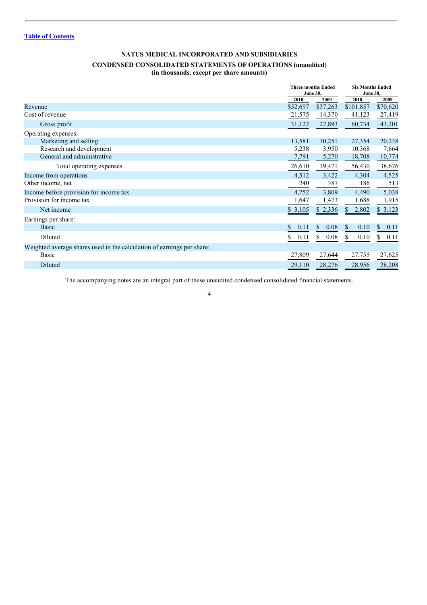## **CONDENSED CONSOLIDATED STATEMENTS OF OPERATIONS (unaudited) (in thousands, except per share amounts)**

|                                                                        |            | <b>Three months Ended</b><br><b>June 30,</b> |             | <b>Six Months Ended</b><br>June 30, |
|------------------------------------------------------------------------|------------|----------------------------------------------|-------------|-------------------------------------|
|                                                                        | 2010       | 2009                                         | 2010        | 2009                                |
| Revenue                                                                | \$52,697   | \$37,263                                     | \$101,857   | \$70,620                            |
| Cost of revenue                                                        | 21,575     | 14,370                                       | 41,123      | 27,419                              |
| Gross profit                                                           | 31,122     | 22,893                                       | 60,734      | 43,201                              |
| Operating expenses:                                                    |            |                                              |             |                                     |
| Marketing and selling                                                  | 13,581     | 10,251                                       | 27,354      | 20,238                              |
| Research and development                                               | 5,238      | 3,950                                        | 10,368      | 7,664                               |
| General and administrative                                             | 7,791      | 5,270                                        | 18,708      | 10,774                              |
| Total operating expenses                                               | 26,610     | 19,471                                       | 56,430      | 38,676                              |
| Income from operations                                                 | 4,512      | 3,422                                        | 4,304       | 4,525                               |
| Other income, net                                                      | 240        | 387                                          | 186         | 513                                 |
| Income before provision for income tax                                 | 4,752      | 3,809                                        | 4,490       | 5,038                               |
| Provision for income tax                                               | 1,647      | 1,473                                        | 1,688       | 1,915                               |
| Net income                                                             | \$3,105    | \$2,336                                      | 2,802<br>S. | \$3,123                             |
| Earnings per share:                                                    |            |                                              |             |                                     |
| <b>Basic</b>                                                           | S<br>0.11  | \$<br>0.08                                   | 0.10<br>S   | S.<br>0.11                          |
| Diluted                                                                | 0.11<br>S. | 0.08<br>S                                    | 0.10<br>S   | 0.11<br>S.                          |
| Weighted average shares used in the calculation of earnings per share: |            |                                              |             |                                     |
| <b>Basic</b>                                                           | 27,809     | 27,644                                       | 27,755      | 27,625                              |
| Diluted                                                                | 29,110     | 28,276                                       | 28,956      | 28,208                              |

The accompanying notes are an integral part of these unaudited condensed consolidated financial statements.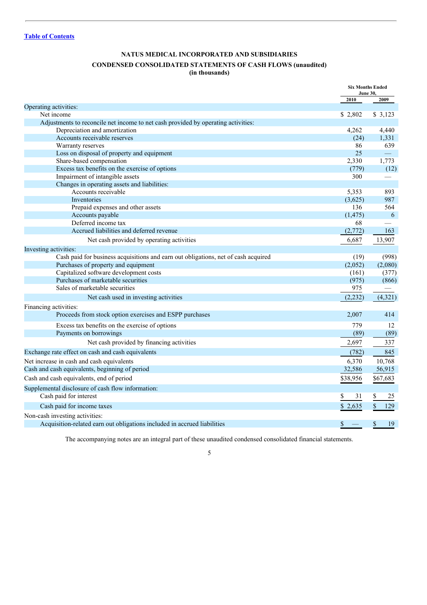## **NATUS MEDICAL INCORPORATED AND SUBSIDIARIES CONDENSED CONSOLIDATED STATEMENTS OF CASH FLOWS (unaudited) (in thousands)**

|                                                                                    | <b>Six Months Ended</b><br><b>June 30,</b> |                                 |
|------------------------------------------------------------------------------------|--------------------------------------------|---------------------------------|
|                                                                                    | 2010                                       | 2009                            |
| Operating activities:                                                              |                                            |                                 |
| Net income                                                                         | \$2,802                                    | \$3,123                         |
| Adjustments to reconcile net income to net cash provided by operating activities:  |                                            |                                 |
| Depreciation and amortization                                                      | 4,262                                      | 4,440                           |
| Accounts receivable reserves                                                       | (24)                                       | 1,331                           |
| Warranty reserves                                                                  | 86                                         | 639                             |
| Loss on disposal of property and equipment                                         | 25                                         |                                 |
| Share-based compensation                                                           | 2,330                                      | 1,773                           |
| Excess tax benefits on the exercise of options                                     | (779)                                      | (12)                            |
| Impairment of intangible assets                                                    | 300                                        |                                 |
| Changes in operating assets and liabilities:                                       |                                            |                                 |
| Accounts receivable                                                                | 5,353                                      | 893                             |
| Inventories                                                                        | (3,625)                                    | 987                             |
| Prepaid expenses and other assets                                                  | 136                                        | 564                             |
| Accounts payable<br>Deferred income tax                                            | (1, 475)                                   | 6                               |
| Accrued liabilities and deferred revenue                                           | 68<br>(2,772)                              | 163                             |
|                                                                                    |                                            |                                 |
| Net cash provided by operating activities                                          | 6,687                                      | 13,907                          |
| Investing activities:                                                              |                                            |                                 |
| Cash paid for business acquisitions and earn out obligations, net of cash acquired | (19)                                       | (998)                           |
| Purchases of property and equipment                                                | (2,052)                                    | (2,080)                         |
| Capitalized software development costs                                             | (161)                                      | (377)                           |
| Purchases of marketable securities                                                 | (975)                                      | (866)                           |
| Sales of marketable securities                                                     | 975                                        | $\hspace{0.1mm}-\hspace{0.1mm}$ |
| Net cash used in investing activities                                              | (2, 232)                                   | (4,321)                         |
| Financing activities:                                                              |                                            |                                 |
| Proceeds from stock option exercises and ESPP purchases                            | 2,007                                      | 414                             |
| Excess tax benefits on the exercise of options                                     | 779                                        | 12                              |
| Payments on borrowings                                                             | (89)                                       | (89)                            |
| Net cash provided by financing activities                                          | 2,697                                      | 337                             |
| Exchange rate effect on cash and cash equivalents                                  | (782)                                      | 845                             |
| Net increase in cash and cash equivalents                                          | 6,370                                      | 10,768                          |
| Cash and cash equivalents, beginning of period                                     | 32,586                                     | 56,915                          |
| Cash and cash equivalents, end of period                                           | \$38,956                                   | \$67,683                        |
| Supplemental disclosure of cash flow information:                                  |                                            |                                 |
| Cash paid for interest                                                             | 31                                         | \$<br>25                        |
| Cash paid for income taxes                                                         | \$2,635                                    | $\mathbb{S}$<br>129             |
| Non-cash investing activities:                                                     |                                            |                                 |
| Acquisition-related earn out obligations included in accrued liabilities           | $\mathbb{S}$                               | \$<br>19                        |

The accompanying notes are an integral part of these unaudited condensed consolidated financial statements.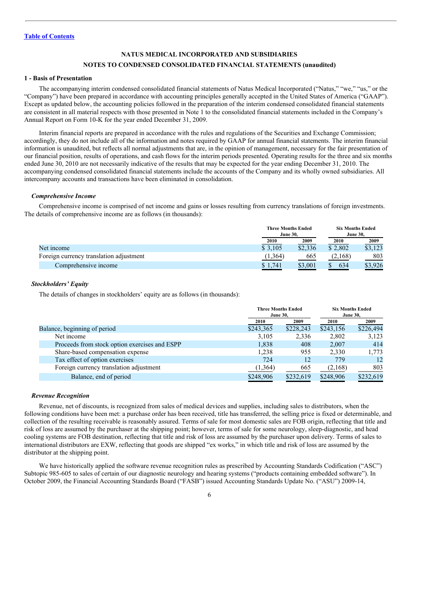## **NATUS MEDICAL INCORPORATED AND SUBSIDIARIES NOTES TO CONDENSED CONSOLIDATED FINANCIAL STATEMENTS (unaudited)**

#### **1 - Basis of Presentation**

The accompanying interim condensed consolidated financial statements of Natus Medical Incorporated ("Natus," "we," "us," or the "Company") have been prepared in accordance with accounting principles generally accepted in the United States of America ("GAAP"). Except as updated below, the accounting policies followed in the preparation of the interim condensed consolidated financial statements are consistent in all material respects with those presented in Note 1 to the consolidated financial statements included in the Company's Annual Report on Form 10-K for the year ended December 31, 2009.

Interim financial reports are prepared in accordance with the rules and regulations of the Securities and Exchange Commission; accordingly, they do not include all of the information and notes required by GAAP for annual financial statements. The interim financial information is unaudited, but reflects all normal adjustments that are, in the opinion of management, necessary for the fair presentation of our financial position, results of operations, and cash flows for the interim periods presented. Operating results for the three and six months ended June 30, 2010 are not necessarily indicative of the results that may be expected for the year ending December 31, 2010. The accompanying condensed consolidated financial statements include the accounts of the Company and its wholly owned subsidiaries. All intercompany accounts and transactions have been eliminated in consolidation.

#### *Comprehensive Income*

Comprehensive income is comprised of net income and gains or losses resulting from currency translations of foreign investments. The details of comprehensive income are as follows (in thousands):

|                                         |          | <b>Three Months Ended</b><br><b>June 30.</b> |         | <b>Six Months Ended</b> |
|-----------------------------------------|----------|----------------------------------------------|---------|-------------------------|
|                                         |          |                                              |         | <b>June 30.</b>         |
|                                         | 2010     | 2009                                         | 2010    | 2009                    |
| Net income                              | \$3.105  | \$2,336                                      | \$2.802 | \$3,123                 |
| Foreign currency translation adjustment | (1, 364) | 665                                          | (2,168) | 803                     |
| Comprehensive income                    | \$1,741  | \$3,001                                      | 634     | \$3,926                 |

#### *Stockholders' Equity*

The details of changes in stockholders' equity are as follows (in thousands):

|                                               | <b>Three Months Ended</b><br><b>June 30.</b> |           | <b>Six Months Ended</b><br><b>June 30.</b> |           |
|-----------------------------------------------|----------------------------------------------|-----------|--------------------------------------------|-----------|
|                                               | 2010                                         | 2009      | 2010                                       | 2009      |
| Balance, beginning of period                  | \$243,365                                    | \$228,243 | \$243,156                                  | \$226,494 |
| Net income                                    | 3,105                                        | 2,336     | 2,802                                      | 3,123     |
| Proceeds from stock option exercises and ESPP | 1,838                                        | 408       | 2,007                                      | 414       |
| Share-based compensation expense              | 1,238                                        | 955       | 2.330                                      | 1,773     |
| Tax effect of option exercises                | 724                                          | 12        | 779                                        | 12        |
| Foreign currency translation adjustment       | (1, 364)                                     | 665       | (2,168)                                    | 803       |
| Balance, end of period                        | \$248,906                                    | \$232,619 | \$248,906                                  | \$232,619 |

#### *Revenue Recognition*

Revenue, net of discounts, is recognized from sales of medical devices and supplies, including sales to distributors, when the following conditions have been met: a purchase order has been received, title has transferred, the selling price is fixed or determinable, and collection of the resulting receivable is reasonably assured. Terms of sale for most domestic sales are FOB origin, reflecting that title and risk of loss are assumed by the purchaser at the shipping point; however, terms of sale for some neurology, sleep-diagnostic, and head cooling systems are FOB destination, reflecting that title and risk of loss are assumed by the purchaser upon delivery. Terms of sales to international distributors are EXW, reflecting that goods are shipped "ex works," in which title and risk of loss are assumed by the distributor at the shipping point.

We have historically applied the software revenue recognition rules as prescribed by Accounting Standards Codification ("ASC") Subtopic 985-605 to sales of certain of our diagnostic neurology and hearing systems ("products containing embedded software"). In October 2009, the Financial Accounting Standards Board ("FASB") issued Accounting Standards Update No. ("ASU") 2009-14,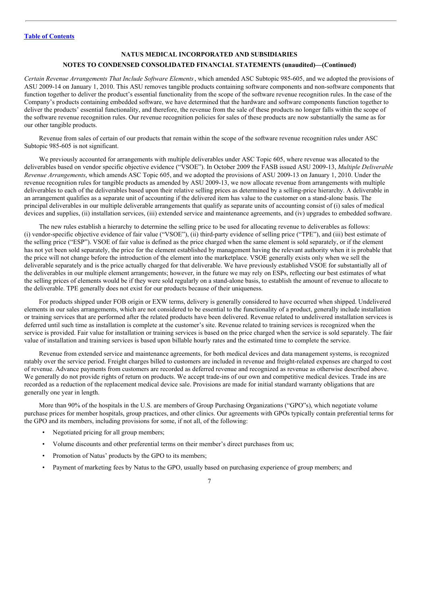#### **NATUS MEDICAL INCORPORATED AND SUBSIDIARIES**

#### **NOTES TO CONDENSED CONSOLIDATED FINANCIAL STATEMENTS (unaudited)—(Continued)**

*Certain Revenue Arrangements That Include Software Elements*, which amended ASC Subtopic 985-605, and we adopted the provisions of ASU 2009-14 on January 1, 2010. This ASU removes tangible products containing software components and non-software components that function together to deliver the product's essential functionality from the scope of the software revenue recognition rules. In the case of the Company's products containing embedded software, we have determined that the hardware and software components function together to deliver the products' essential functionality, and therefore, the revenue from the sale of these products no longer falls within the scope of the software revenue recognition rules. Our revenue recognition policies for sales of these products are now substantially the same as for our other tangible products.

Revenue from sales of certain of our products that remain within the scope of the software revenue recognition rules under ASC Subtopic 985-605 is not significant.

We previously accounted for arrangements with multiple deliverables under ASC Topic 605, where revenue was allocated to the deliverables based on vendor specific objective evidence ("VSOE"). In October 2009 the FASB issued ASU 2009-13, *Multiple Deliverable Revenue Arrangements*, which amends ASC Topic 605, and we adopted the provisions of ASU 2009-13 on January 1, 2010. Under the revenue recognition rules for tangible products as amended by ASU 2009-13, we now allocate revenue from arrangements with multiple deliverables to each of the deliverables based upon their relative selling prices as determined by a selling-price hierarchy. A deliverable in an arrangement qualifies as a separate unit of accounting if the delivered item has value to the customer on a stand-alone basis. The principal deliverables in our multiple deliverable arrangements that qualify as separate units of accounting consist of (i) sales of medical devices and supplies, (ii) installation services, (iii) extended service and maintenance agreements, and (iv) upgrades to embedded software.

The new rules establish a hierarchy to determine the selling price to be used for allocating revenue to deliverables as follows: (i) vendor-specific objective evidence of fair value ("VSOE"), (ii) third-party evidence of selling price ("TPE"), and (iii) best estimate of the selling price ("ESP"). VSOE of fair value is defined as the price charged when the same element is sold separately, or if the element has not yet been sold separately, the price for the element established by management having the relevant authority when it is probable that the price will not change before the introduction of the element into the marketplace. VSOE generally exists only when we sell the deliverable separately and is the price actually charged for that deliverable. We have previously established VSOE for substantially all of the deliverables in our multiple element arrangements; however, in the future we may rely on ESPs, reflecting our best estimates of what the selling prices of elements would be if they were sold regularly on a stand-alone basis, to establish the amount of revenue to allocate to the deliverable. TPE generally does not exist for our products because of their uniqueness.

For products shipped under FOB origin or EXW terms, delivery is generally considered to have occurred when shipped. Undelivered elements in our sales arrangements, which are not considered to be essential to the functionality of a product, generally include installation or training services that are performed after the related products have been delivered. Revenue related to undelivered installation services is deferred until such time as installation is complete at the customer's site. Revenue related to training services is recognized when the service is provided. Fair value for installation or training services is based on the price charged when the service is sold separately. The fair value of installation and training services is based upon billable hourly rates and the estimated time to complete the service.

Revenue from extended service and maintenance agreements, for both medical devices and data management systems, is recognized ratably over the service period. Freight charges billed to customers are included in revenue and freight-related expenses are charged to cost of revenue. Advance payments from customers are recorded as deferred revenue and recognized as revenue as otherwise described above. We generally do not provide rights of return on products. We accept trade-ins of our own and competitive medical devices. Trade ins are recorded as a reduction of the replacement medical device sale. Provisions are made for initial standard warranty obligations that are generally one year in length.

More than 90% of the hospitals in the U.S. are members of Group Purchasing Organizations ("GPO"s), which negotiate volume purchase prices for member hospitals, group practices, and other clinics. Our agreements with GPOs typically contain preferential terms for the GPO and its members, including provisions for some, if not all, of the following:

- Negotiated pricing for all group members;
- Volume discounts and other preferential terms on their member's direct purchases from us;
- Promotion of Natus' products by the GPO to its members;
- Payment of marketing fees by Natus to the GPO, usually based on purchasing experience of group members; and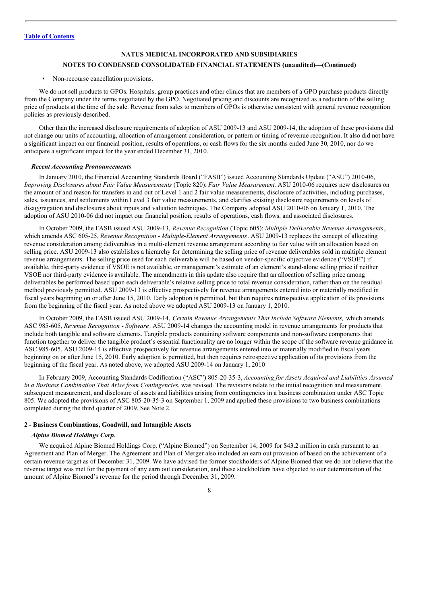## **NOTES TO CONDENSED CONSOLIDATED FINANCIAL STATEMENTS (unaudited)—(Continued)**

• Non-recourse cancellation provisions.

We do not sell products to GPOs. Hospitals, group practices and other clinics that are members of a GPO purchase products directly from the Company under the terms negotiated by the GPO. Negotiated pricing and discounts are recognized as a reduction of the selling price of products at the time of the sale. Revenue from sales to members of GPOs is otherwise consistent with general revenue recognition policies as previously described.

Other than the increased disclosure requirements of adoption of ASU 2009-13 and ASU 2009-14, the adoption of these provisions did not change our units of accounting, allocation of arrangement consideration, or pattern or timing of revenue recognition. It also did not have a significant impact on our financial position, results of operations, or cash flows for the six months ended June 30, 2010, nor do we anticipate a significant impact for the year ended December 31, 2010.

#### *Recent Accounting Pronouncements*

In January 2010, the Financial Accounting Standards Board ("FASB") issued Accounting Standards Update ("ASU") 2010-06, *Improving Disclosures about Fair Value Measurements* (Topic 820): *Fair Value Measurement.* ASU 2010-06 requires new disclosures on the amount of and reason for transfers in and out of Level 1 and 2 fair value measurements, disclosure of activities, including purchases, sales, issuances, and settlements within Level 3 fair value measurements, and clarifies existing disclosure requirements on levels of disaggregation and disclosures about inputs and valuation techniques. The Company adopted ASU 2010-06 on January 1, 2010. The adoption of ASU 2010-06 did not impact our financial position, results of operations, cash flows, and associated disclosures.

In October 2009, the FASB issued ASU 2009-13, *Revenue Recognition* (Topic 605): *Multiple Deliverable Revenue Arrangements*, which amends ASC 605-25, *Revenue Recognition - Multiple-Element Arrangements*. ASU 2009-13 replaces the concept of allocating revenue consideration among deliverables in a multi-element revenue arrangement according to fair value with an allocation based on selling price. ASU 2009-13 also establishes a hierarchy for determining the selling price of revenue deliverables sold in multiple element revenue arrangements. The selling price used for each deliverable will be based on vendor-specific objective evidence ("VSOE") if available, third-party evidence if VSOE is not available, or management's estimate of an element's stand-alone selling price if neither VSOE nor third-party evidence is available. The amendments in this update also require that an allocation of selling price among deliverables be performed based upon each deliverable's relative selling price to total revenue consideration, rather than on the residual method previously permitted. ASU 2009-13 is effective prospectively for revenue arrangements entered into or materially modified in fiscal years beginning on or after June 15, 2010. Early adoption is permitted, but then requires retrospective application of its provisions from the beginning of the fiscal year. As noted above we adopted ASU 2009-13 on January 1, 2010.

In October 2009, the FASB issued ASU 2009-14, *Certain Revenue Arrangements That Include Software Elements,* which amends ASC 985-605, *Revenue Recognition - Software*. ASU 2009-14 changes the accounting model in revenue arrangements for products that include both tangible and software elements. Tangible products containing software components and non-software components that function together to deliver the tangible product's essential functionality are no longer within the scope of the software revenue guidance in ASC 985-605. ASU 2009-14 is effective prospectively for revenue arrangements entered into or materially modified in fiscal years beginning on or after June 15, 2010. Early adoption is permitted, but then requires retrospective application of its provisions from the beginning of the fiscal year. As noted above, we adopted ASU 2009-14 on January 1, 2010

In February 2009, Accounting Standards Codification ("ASC") 805-20-35-3, *Accounting for Assets Acquired and Liabilities Assumed in a Business Combination That Arise from Contingencies*, was revised. The revisions relate to the initial recognition and measurement, subsequent measurement, and disclosure of assets and liabilities arising from contingencies in a business combination under ASC Topic 805. We adopted the provisions of ASC 805-20-35-3 on September 1, 2009 and applied these provisions to two business combinations completed during the third quarter of 2009. See Note 2.

#### **2 - Business Combinations, Goodwill, and Intangible Assets**

#### *Alpine Biomed Holdings Corp.*

We acquired Alpine Biomed Holdings Corp. ("Alpine Biomed") on September 14, 2009 for \$43.2 million in cash pursuant to an Agreement and Plan of Merger. The Agreement and Plan of Merger also included an earn out provision of based on the achievement of a certain revenue target as of December 31, 2009. We have advised the former stockholders of Alpine Biomed that we do not believe that the revenue target was met for the payment of any earn out consideration, and these stockholders have objected to our determination of the amount of Alpine Biomed's revenue for the period through December 31, 2009.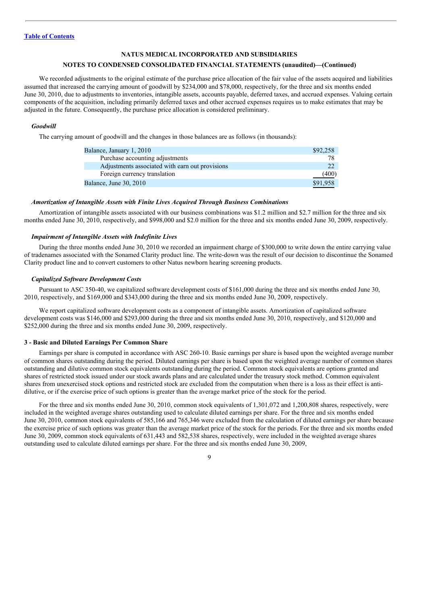#### **NOTES TO CONDENSED CONSOLIDATED FINANCIAL STATEMENTS (unaudited)—(Continued)**

We recorded adjustments to the original estimate of the purchase price allocation of the fair value of the assets acquired and liabilities assumed that increased the carrying amount of goodwill by \$234,000 and \$78,000, respectively, for the three and six months ended June 30, 2010, due to adjustments to inventories, intangible assets, accounts payable, deferred taxes, and accrued expenses. Valuing certain components of the acquisition, including primarily deferred taxes and other accrued expenses requires us to make estimates that may be adjusted in the future. Consequently, the purchase price allocation is considered preliminary.

#### *Goodwill*

The carrying amount of goodwill and the changes in those balances are as follows (in thousands):

| Balance, January 1, 2010                        | \$92,258 |
|-------------------------------------------------|----------|
| Purchase accounting adjustments                 |          |
| Adjustments associated with earn out provisions |          |
| Foreign currency translation                    | (400)    |
| Balance, June 30, 2010                          | \$91,958 |

#### *Amortization of Intangible Assets with Finite Lives Acquired Through Business Combinations*

Amortization of intangible assets associated with our business combinations was \$1.2 million and \$2.7 million for the three and six months ended June 30, 2010, respectively, and \$998,000 and \$2.0 million for the three and six months ended June 30, 2009, respectively.

#### *Impairment of Intangible Assets with Indefinite Lives*

During the three months ended June 30, 2010 we recorded an impairment charge of \$300,000 to write down the entire carrying value of tradenames associated with the Sonamed Clarity product line. The write-down was the result of our decision to discontinue the Sonamed Clarity product line and to convert customers to other Natus newborn hearing screening products.

#### *Capitalized Software Development Costs*

Pursuant to ASC 350-40, we capitalized software development costs of \$161,000 during the three and six months ended June 30, 2010, respectively, and \$169,000 and \$343,000 during the three and six months ended June 30, 2009, respectively.

We report capitalized software development costs as a component of intangible assets. Amortization of capitalized software development costs was \$146,000 and \$293,000 during the three and six months ended June 30, 2010, respectively, and \$120,000 and \$252,000 during the three and six months ended June 30, 2009, respectively.

#### **3 - Basic and Diluted Earnings Per Common Share**

Earnings per share is computed in accordance with ASC 260-10. Basic earnings per share is based upon the weighted average number of common shares outstanding during the period. Diluted earnings per share is based upon the weighted average number of common shares outstanding and dilutive common stock equivalents outstanding during the period. Common stock equivalents are options granted and shares of restricted stock issued under our stock awards plans and are calculated under the treasury stock method. Common equivalent shares from unexercised stock options and restricted stock are excluded from the computation when there is a loss as their effect is antidilutive, or if the exercise price of such options is greater than the average market price of the stock for the period.

For the three and six months ended June 30, 2010, common stock equivalents of 1,301,072 and 1,200,808 shares, respectively, were included in the weighted average shares outstanding used to calculate diluted earnings per share. For the three and six months ended June 30, 2010, common stock equivalents of 585,166 and 765,346 were excluded from the calculation of diluted earnings per share because the exercise price of such options was greater than the average market price of the stock for the periods. For the three and six months ended June 30, 2009, common stock equivalents of 631,443 and 582,538 shares, respectively, were included in the weighted average shares outstanding used to calculate diluted earnings per share. For the three and six months ended June 30, 2009,

 $\Omega$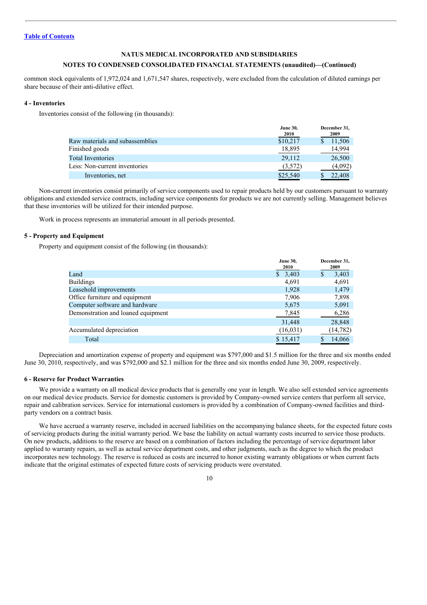## **NOTES TO CONDENSED CONSOLIDATED FINANCIAL STATEMENTS (unaudited)—(Continued)**

common stock equivalents of 1,972,024 and 1,671,547 shares, respectively, were excluded from the calculation of diluted earnings per share because of their anti-dilutive effect.

#### **4 - Inventories**

Inventories consist of the following (in thousands):

|                                 | <b>June 30,</b> | December 31, |
|---------------------------------|-----------------|--------------|
|                                 | 2010            | 2009         |
| Raw materials and subassemblies | \$10,217        | 11,506       |
| Finished goods                  | 18,895          | 14.994       |
| <b>Total Inventories</b>        | 29,112          | 26,500       |
| Less: Non-current inventories   | (3,572)         | (4,092)      |
| Inventories, net                | \$25,540        | 22,408       |

Non-current inventories consist primarily of service components used to repair products held by our customers pursuant to warranty obligations and extended service contracts, including service components for products we are not currently selling. Management believes that these inventories will be utilized for their intended purpose.

Work in process represents an immaterial amount in all periods presented.

#### **5 - Property and Equipment**

Property and equipment consist of the following (in thousands):

|                                    | <b>June 30,</b><br>2010 | December 31.<br>2009 |
|------------------------------------|-------------------------|----------------------|
| Land                               | \$3,403                 | 3,403                |
| <b>Buildings</b>                   | 4,691                   | 4,691                |
| Leasehold improvements             | 1,928                   | 1,479                |
| Office furniture and equipment     | 7,906                   | 7,898                |
| Computer software and hardware     | 5,675                   | 5,091                |
| Demonstration and loaned equipment | 7,845                   | 6,286                |
|                                    | 31,448                  | 28,848               |
| Accumulated depreciation           | (16,031)                | (14, 782)            |
| Total                              | \$15,417                | 14,066               |

Depreciation and amortization expense of property and equipment was \$797,000 and \$1.5 million for the three and six months ended June 30, 2010, respectively, and was \$792,000 and \$2.1 million for the three and six months ended June 30, 2009, respectively.

#### **6 - Reserve for Product Warranties**

We provide a warranty on all medical device products that is generally one year in length. We also sell extended service agreements on our medical device products. Service for domestic customers is provided by Company-owned service centers that perform all service, repair and calibration services. Service for international customers is provided by a combination of Company-owned facilities and thirdparty vendors on a contract basis.

We have accrued a warranty reserve, included in accrued liabilities on the accompanying balance sheets, for the expected future costs of servicing products during the initial warranty period. We base the liability on actual warranty costs incurred to service those products. On new products, additions to the reserve are based on a combination of factors including the percentage of service department labor applied to warranty repairs, as well as actual service department costs, and other judgments, such as the degree to which the product incorporates new technology. The reserve is reduced as costs are incurred to honor existing warranty obligations or when current facts indicate that the original estimates of expected future costs of servicing products were overstated.

 $1<sub>0</sub>$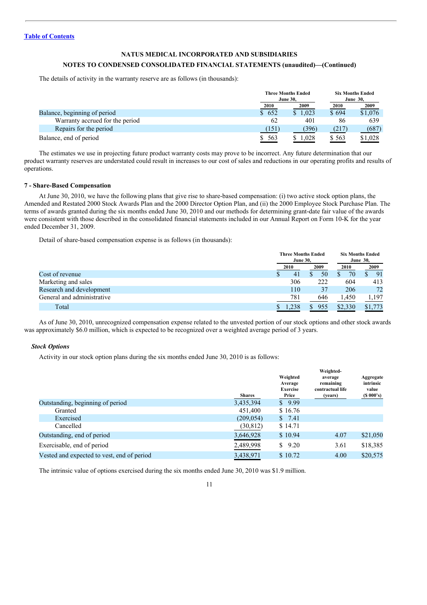## **NATUS MEDICAL INCORPORATED AND SUBSIDIARIES NOTES TO CONDENSED CONSOLIDATED FINANCIAL STATEMENTS (unaudited)—(Continued)**

The details of activity in the warranty reserve are as follows (in thousands):

|                                 |       | <b>Three Months Ended</b><br><b>June 30,</b> |       | <b>Six Months Ended</b><br><b>June 30,</b> |  |
|---------------------------------|-------|----------------------------------------------|-------|--------------------------------------------|--|
|                                 | 2010  | 2009                                         | 2010  | 2009                                       |  |
| Balance, beginning of period    | \$652 | 1.023                                        | \$694 | \$1,076                                    |  |
| Warranty accrued for the period | 62    | 401                                          | 86    | 639                                        |  |
| Repairs for the period          | (151) | (396)                                        | (217) | (687)                                      |  |
| Balance, end of period          | 563   | 1.028                                        | \$563 | \$1,028                                    |  |

The estimates we use in projecting future product warranty costs may prove to be incorrect. Any future determination that our product warranty reserves are understated could result in increases to our cost of sales and reductions in our operating profits and results of operations.

#### **7 - Share-Based Compensation**

At June 30, 2010, we have the following plans that give rise to share-based compensation: (i) two active stock option plans, the Amended and Restated 2000 Stock Awards Plan and the 2000 Director Option Plan, and (ii) the 2000 Employee Stock Purchase Plan. The terms of awards granted during the six months ended June 30, 2010 and our methods for determining grant-date fair value of the awards were consistent with those described in the consolidated financial statements included in our Annual Report on Form 10-K for the year ended December 31, 2009.

Detail of share-based compensation expense is as follows (in thousands):

|                            |      | <b>Three Months Ended</b><br><b>June 30,</b> |         | <b>Six Months Ended</b><br><b>June 30,</b> |  |
|----------------------------|------|----------------------------------------------|---------|--------------------------------------------|--|
|                            | 2010 | 2009                                         | 2010    | 2009                                       |  |
| Cost of revenue            | 41   | 50                                           | 70      | 91                                         |  |
| Marketing and sales        | 306  | 222                                          | 604     | 413                                        |  |
| Research and development   | 110  | 37                                           | 206     | 72                                         |  |
| General and administrative | 781  | 646                                          | 1,450   | 1,197                                      |  |
| Total                      | 238  | 955                                          | \$2,330 | \$1,773                                    |  |

As of June 30, 2010, unrecognized compensation expense related to the unvested portion of our stock options and other stock awards was approximately \$6.0 million, which is expected to be recognized over a weighted average period of 3 years.

#### *Stock Options*

Activity in our stock option plans during the six months ended June 30, 2010 is as follows:

|                                            | <b>Shares</b> | Weighted<br>Average<br><b>Exercise</b><br>Price | Weighted-<br>average<br>remaining<br>contractual life<br>(years) | Aggregate<br>intrinsic<br>value<br>$(S\ 000's)$ |
|--------------------------------------------|---------------|-------------------------------------------------|------------------------------------------------------------------|-------------------------------------------------|
| Outstanding, beginning of period           | 3,435,394     | \$9.99                                          |                                                                  |                                                 |
| Granted                                    | 451,400       | \$16.76                                         |                                                                  |                                                 |
| Exercised                                  | (209, 054)    | \$7.41                                          |                                                                  |                                                 |
| Cancelled                                  | (30, 812)     | \$14.71                                         |                                                                  |                                                 |
| Outstanding, end of period                 | 3,646,928     | \$10.94                                         | 4.07                                                             | \$21,050                                        |
| Exercisable, end of period                 | 2,489,998     | S.<br>9.20                                      | 3.61                                                             | \$18,385                                        |
| Vested and expected to vest, end of period | 3,438,971     | \$10.72                                         | 4.00                                                             | \$20,575                                        |

The intrinsic value of options exercised during the six months ended June 30, 2010 was \$1.9 million.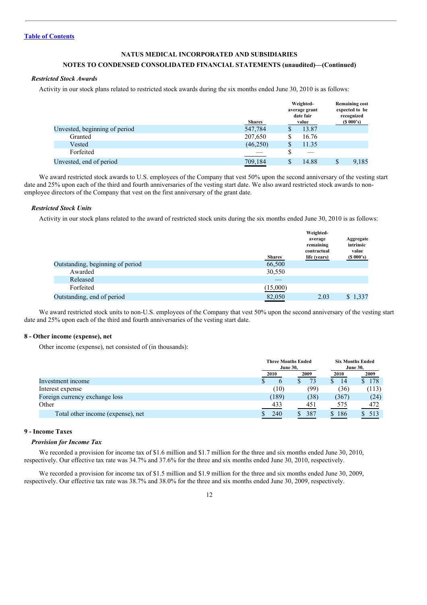## **NATUS MEDICAL INCORPORATED AND SUBSIDIARIES NOTES TO CONDENSED CONSOLIDATED FINANCIAL STATEMENTS (unaudited)—(Continued)**

#### *Restricted Stock Awards*

Activity in our stock plans related to restricted stock awards during the six months ended June 30, 2010 is as follows:

|                               | <b>Shares</b> |    | Weighted-<br>average grant<br>date fair<br>value | <b>Remaining cost</b><br>expected to be<br>recognized<br>$(S\ 000's)$ |
|-------------------------------|---------------|----|--------------------------------------------------|-----------------------------------------------------------------------|
| Unvested, beginning of period | 547,784       | S  | 13.87                                            |                                                                       |
| Granted                       | 207,650       | \$ | 16.76                                            |                                                                       |
| Vested                        | (46,250)      | S  | 11.35                                            |                                                                       |
| Forfeited                     |               | \$ |                                                  |                                                                       |
| Unvested, end of period       | 709,184       | \$ | 14.88                                            | 9,185                                                                 |

We award restricted stock awards to U.S. employees of the Company that vest 50% upon the second anniversary of the vesting start date and 25% upon each of the third and fourth anniversaries of the vesting start date. We also award restricted stock awards to nonemployee directors of the Company that vest on the first anniversary of the grant date.

#### *Restricted Stock Units*

Activity in our stock plans related to the award of restricted stock units during the six months ended June 30, 2010 is as follows:

|                                  | <b>Shares</b> | Weighted-<br>average<br>remaining<br>contractual<br>life (years) | Aggregate<br>intrinsic<br>value<br>$(S\ 000's)$ |
|----------------------------------|---------------|------------------------------------------------------------------|-------------------------------------------------|
| Outstanding, beginning of period | 66,500        |                                                                  |                                                 |
| Awarded                          | 30,550        |                                                                  |                                                 |
| Released                         |               |                                                                  |                                                 |
| Forfeited                        | (15,000)      |                                                                  |                                                 |
| Outstanding, end of period       | 82,050        | 2.03                                                             | \$1,337                                         |

We award restricted stock units to non-U.S. employees of the Company that vest 50% upon the second anniversary of the vesting start date and 25% upon each of the third and fourth anniversaries of the vesting start date.

#### **8 - Other income (expense), net**

Other income (expense), net consisted of (in thousands):

|                                   |       | <b>Three Months Ended</b> | <b>Six Months Ended</b><br><b>June 30,</b> |                        |
|-----------------------------------|-------|---------------------------|--------------------------------------------|------------------------|
|                                   |       | <b>June 30.</b>           |                                            |                        |
|                                   | 2010  | 2009                      | 2010                                       | 2009                   |
| Investment income                 | o     | 73                        | 14                                         | 178<br>\$.             |
| Interest expense                  | (10)  | (99)                      | (36)                                       | (113)                  |
| Foreign currency exchange loss    | (189) | (38)                      | (367)                                      | (24)                   |
| Other                             | 433   | 451                       | 575                                        | 472                    |
| Total other income (expense), net | 240   | 387                       | 186                                        | $\mathcal{S}^-$<br>513 |

#### **9 - Income Taxes**

#### *Provision for Income Tax*

We recorded a provision for income tax of \$1.6 million and \$1.7 million for the three and six months ended June 30, 2010, respectively. Our effective tax rate was 34.7% and 37.6% for the three and six months ended June 30, 2010, respectively.

We recorded a provision for income tax of \$1.5 million and \$1.9 million for the three and six months ended June 30, 2009, respectively. Our effective tax rate was 38.7% and 38.0% for the three and six months ended June 30, 2009, respectively.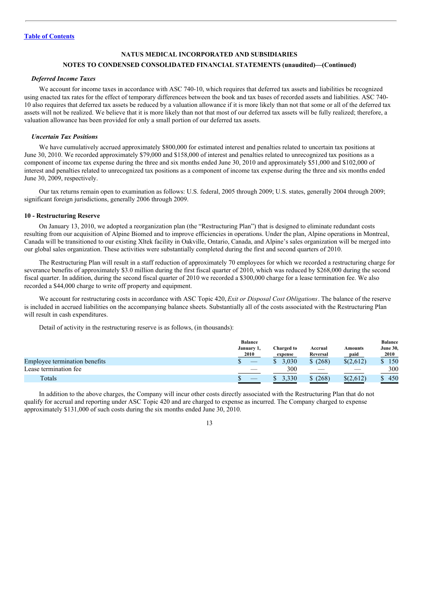#### **NATUS MEDICAL INCORPORATED AND SUBSIDIARIES**

#### **NOTES TO CONDENSED CONSOLIDATED FINANCIAL STATEMENTS (unaudited)—(Continued)**

#### *Deferred Income Taxes*

We account for income taxes in accordance with ASC 740-10, which requires that deferred tax assets and liabilities be recognized using enacted tax rates for the effect of temporary differences between the book and tax bases of recorded assets and liabilities. ASC 740- 10 also requires that deferred tax assets be reduced by a valuation allowance if it is more likely than not that some or all of the deferred tax assets will not be realized. We believe that it is more likely than not that most of our deferred tax assets will be fully realized; therefore, a valuation allowance has been provided for only a small portion of our deferred tax assets.

#### *Uncertain Tax Positions*

We have cumulatively accrued approximately \$800,000 for estimated interest and penalties related to uncertain tax positions at June 30, 2010. We recorded approximately \$79,000 and \$158,000 of interest and penalties related to unrecognized tax positions as a component of income tax expense during the three and six months ended June 30, 2010 and approximately \$51,000 and \$102,000 of interest and penalties related to unrecognized tax positions as a component of income tax expense during the three and six months ended June 30, 2009, respectively.

Our tax returns remain open to examination as follows: U.S. federal, 2005 through 2009; U.S. states, generally 2004 through 2009; significant foreign jurisdictions, generally 2006 through 2009.

#### **10 - Restructuring Reserve**

On January 13, 2010, we adopted a reorganization plan (the "Restructuring Plan") that is designed to eliminate redundant costs resulting from our acquisition of Alpine Biomed and to improve efficiencies in operations. Under the plan, Alpine operations in Montreal, Canada will be transitioned to our existing Xltek facility in Oakville, Ontario, Canada, and Alpine's sales organization will be merged into our global sales organization. These activities were substantially completed during the first and second quarters of 2010.

The Restructuring Plan will result in a staff reduction of approximately 70 employees for which we recorded a restructuring charge for severance benefits of approximately \$3.0 million during the first fiscal quarter of 2010, which was reduced by \$268,000 during the second fiscal quarter. In addition, during the second fiscal quarter of 2010 we recorded a \$300,000 charge for a lease termination fee. We also recorded a \$44,000 charge to write off property and equipment.

We account for restructuring costs in accordance with ASC Topic 420, *Exit or Disposal Cost Obligations*. The balance of the reserve is included in accrued liabilities on the accompanying balance sheets. Substantially all of the costs associated with the Restructuring Plan will result in cash expenditures.

Detail of activity in the restructuring reserve is as follows, (in thousands):

|                                      | <b>Balance</b>     |                       |                          |                 | <b>Balance</b>          |
|--------------------------------------|--------------------|-----------------------|--------------------------|-----------------|-------------------------|
|                                      | January 1.<br>2010 | Charged to<br>expense | Accrual<br>Reversal      | Amounts<br>paid | <b>June 30,</b><br>2010 |
| <b>Employee termination benefits</b> |                    | 3.030                 | \$ (268)                 | \$(2,612)       | 150                     |
| Lease termination fee                |                    | 300                   | $\overline{\phantom{a}}$ |                 | 300                     |
| Totals                               |                    | 3.330                 | \$ (268)                 | \$(2,612)       | 450                     |

In addition to the above charges, the Company will incur other costs directly associated with the Restructuring Plan that do not qualify for accrual and reporting under ASC Topic 420 and are charged to expense as incurred. The Company charged to expense approximately \$131,000 of such costs during the six months ended June 30, 2010.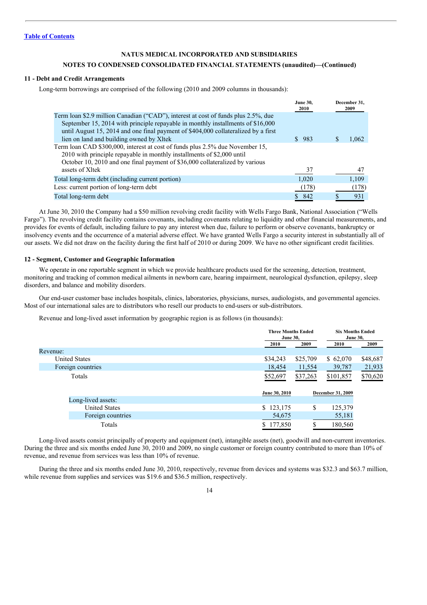#### **NATUS MEDICAL INCORPORATED AND SUBSIDIARIES**

## **NOTES TO CONDENSED CONSOLIDATED FINANCIAL STATEMENTS (unaudited)—(Continued)**

#### **11 - Debt and Credit Arrangements**

Long-term borrowings are comprised of the following (2010 and 2009 columns in thousands):

|                                                                                                                                                                                                                                                                                                         | <b>June 30.</b><br>2010 | December 31.<br>2009 |
|---------------------------------------------------------------------------------------------------------------------------------------------------------------------------------------------------------------------------------------------------------------------------------------------------------|-------------------------|----------------------|
| Term loan \$2.9 million Canadian ("CAD"), interest at cost of funds plus 2.5%, due<br>September 15, 2014 with principle repayable in monthly installments of \$16,000<br>until August 15, 2014 and one final payment of \$404,000 collateralized by a first<br>lien on land and building owned by Xltek | \$983                   | 1.062                |
| Term loan CAD \$300,000, interest at cost of funds plus 2.5% due November 15,<br>2010 with principle repayable in monthly installments of \$2,000 until<br>October 10, 2010 and one final payment of \$36,000 collateralized by various<br>assets of Xltek                                              | 37                      | 47                   |
| Total long-term debt (including current portion)                                                                                                                                                                                                                                                        | 1,020                   | 1.109                |
| Less: current portion of long-term debt                                                                                                                                                                                                                                                                 | (178)                   | (178)                |
| Total long-term debt                                                                                                                                                                                                                                                                                    | 842<br>S.               | 931                  |

At June 30, 2010 the Company had a \$50 million revolving credit facility with Wells Fargo Bank, National Association ("Wells Fargo"). The revolving credit facility contains covenants, including covenants relating to liquidity and other financial measurements, and provides for events of default, including failure to pay any interest when due, failure to perform or observe covenants, bankruptcy or insolvency events and the occurrence of a material adverse effect. We have granted Wells Fargo a security interest in substantially all of our assets. We did not draw on the facility during the first half of 2010 or during 2009. We have no other significant credit facilities.

#### **12 - Segment, Customer and Geographic Information**

We operate in one reportable segment in which we provide healthcare products used for the screening, detection, treatment, monitoring and tracking of common medical ailments in newborn care, hearing impairment, neurological dysfunction, epilepsy, sleep disorders, and balance and mobility disorders.

Our end-user customer base includes hospitals, clinics, laboratories, physicians, nurses, audiologists, and governmental agencies. Most of our international sales are to distributors who resell our products to end-users or sub-distributors.

Revenue and long-lived asset information by geographic region is as follows (in thousands):

|                      |               | <b>Three Months Ended</b><br><b>June 30.</b> |                   | <b>Six Months Ended</b><br><b>June 30,</b> |
|----------------------|---------------|----------------------------------------------|-------------------|--------------------------------------------|
|                      | 2010          | 2009                                         | 2010              | 2009                                       |
| Revenue:             |               |                                              |                   |                                            |
| <b>United States</b> | \$34,243      | \$25,709                                     | \$62,070          | \$48,687                                   |
| Foreign countries    | 18,454        | 11,554                                       | 39,787            | 21,933                                     |
| Totals               | \$52,697      | \$37,263                                     | \$101,857         | \$70,620                                   |
|                      | June 30, 2010 |                                              | December 31, 2009 |                                            |
| Long-lived assets:   |               |                                              |                   |                                            |
| <b>United States</b> | \$123,175     | \$                                           | 125,379           |                                            |
| Foreign countries    | 54,675        |                                              | 55,181            |                                            |
| Totals               | 177,850<br>\$ |                                              | 180,560           |                                            |

Long-lived assets consist principally of property and equipment (net), intangible assets (net), goodwill and non-current inventories. During the three and six months ended June 30, 2010 and 2009, no single customer or foreign country contributed to more than 10% of revenue, and revenue from services was less than 10% of revenue.

During the three and six months ended June 30, 2010, respectively, revenue from devices and systems was \$32.3 and \$63.7 million, while revenue from supplies and services was \$19.6 and \$36.5 million, respectively.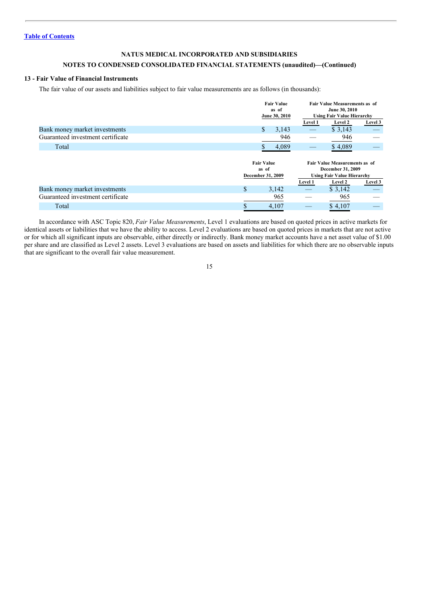## **NATUS MEDICAL INCORPORATED AND SUBSIDIARIES**

## **NOTES TO CONDENSED CONSOLIDATED FINANCIAL STATEMENTS (unaudited)—(Continued)**

## **13 - Fair Value of Financial Instruments**

The fair value of our assets and liabilities subject to fair value measurements are as follows (in thousands):

|                                   |                                                 | <b>Fair Value</b><br>as of<br>June 30, 2010 |         | <b>Fair Value Measurements as of</b><br>June 30, 2010<br><b>Using Fair Value Hierarchy</b>     |         |
|-----------------------------------|-------------------------------------------------|---------------------------------------------|---------|------------------------------------------------------------------------------------------------|---------|
|                                   |                                                 |                                             | Level 1 | Level 2                                                                                        | Level 3 |
| Bank money market investments     | \$                                              | 3,143                                       |         | \$3,143                                                                                        |         |
| Guaranteed investment certificate |                                                 | 946                                         |         | 946                                                                                            |         |
| Total                             |                                                 | 4,089                                       |         | \$4,089                                                                                        |         |
|                                   | <b>Fair Value</b><br>as of<br>December 31, 2009 |                                             |         | <b>Fair Value Measurements as of</b><br>December 31, 2009<br><b>Using Fair Value Hierarchy</b> |         |
|                                   |                                                 |                                             | Level 1 | Level 2                                                                                        | Level 3 |
| Bank money market investments     | \$                                              | 3,142                                       |         | \$3,142                                                                                        |         |
| Guaranteed investment certificate |                                                 | 965                                         |         | 965                                                                                            |         |
| Total                             |                                                 | 4,107                                       |         | \$4,107                                                                                        |         |

In accordance with ASC Topic 820, *Fair Value Measurements*, Level 1 evaluations are based on quoted prices in active markets for identical assets or liabilities that we have the ability to access. Level 2 evaluations are based on quoted prices in markets that are not active or for which all significant inputs are observable, either directly or indirectly. Bank money market accounts have a net asset value of \$1.00 per share and are classified as Level 2 assets. Level 3 evaluations are based on assets and liabilities for which there are no observable inputs that are significant to the overall fair value measurement.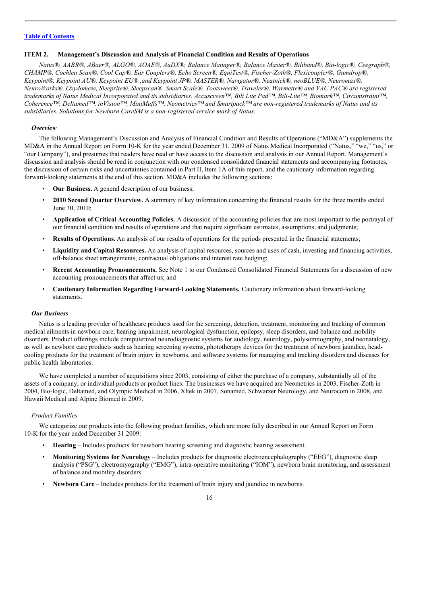#### **ITEM 2. Management's Discussion and Analysis of Financial Condition and Results of Operations**

*Natus®, AABR®, ABaer®, ALGO®, AOAE®, AuDX®, Balance Manager®, Balance Master®, Biliband®, Bio-logic®, Ceegraph®, CHAMP®, Cochlea Scan®, Cool Cap®, Ear Couplers®, Echo Screen®, EquiTest®, Fischer-Zoth®, Flexicoupler®, Gumdrop®, Keypoint®, Keypoint AU®, Keypoint EU® ,and Keypoint JP®, MASTER®, Navigator®, Neatnick®, neoBLUE®, Neuromax®, NeuroWorks®, Oxydome®, Sleeprite®, Sleepscan®, Smart Scale®, Tootsweet®, Traveler®, Warmette® and VAC PAC® are registered* trademarks of Natus Medical Incorporated and its subsidiaries. Accuscreen™, Bili Lite Pad™, Bili-Lite™, Biomark™, Circumstraint™, *Coherence™, Deltamed™, inVision™, MiniMuf s™, Neometrics™ and Smartpack™ are non-registered trademarks of Natus and its subsidiaries. Solutions for Newborn CareSM is a non-registered service mark of Natus.*

#### *Overview*

The following Management's Discussion and Analysis of Financial Condition and Results of Operations ("MD&A") supplements the MD&A in the Annual Report on Form 10-K for the year ended December 31, 2009 of Natus Medical Incorporated ("Natus," "we," "us," or "our Company"), and presumes that readers have read or have access to the discussion and analysis in our Annual Report. Management's discussion and analysis should be read in conjunction with our condensed consolidated financial statements and accompanying footnotes, the discussion of certain risks and uncertainties contained in Part II, Item 1A of this report, and the cautionary information regarding forward-looking statements at the end of this section. MD&A includes the following sections:

- **Our Business.** A general description of our business;
- **2010 Second Quarter Overview.** A summary of key information concerning the financial results for the three months ended June 30, 2010;
- **Application of Critical Accounting Policies.** A discussion of the accounting policies that are most important to the portrayal of our financial condition and results of operations and that require significant estimates, assumptions, and judgments;
- **Results of Operations.** An analysis of our results of operations for the periods presented in the financial statements;
- **Liquidity and Capital Resources.** An analysis of capital resources, sources and uses of cash, investing and financing activities, off-balance sheet arrangements, contractual obligations and interest rate hedging;
- **Recent Accounting Pronouncements.** See Note 1 to our Condensed Consolidated Financial Statements for a discussion of new accounting pronouncements that affect us; and
- **Cautionary Information Regarding Forward-Looking Statements.** Cautionary information about forward-looking statements.

#### *Our Business*

Natus is a leading provider of healthcare products used for the screening, detection, treatment, monitoring and tracking of common medical ailments in newborn care, hearing impairment, neurological dysfunction, epilepsy, sleep disorders, and balance and mobility disorders. Product offerings include computerized neurodiagnostic systems for audiology, neurology, polysomnography, and neonatalogy, as well as newborn care products such as hearing screening systems, phototherapy devices for the treatment of newborn jaundice, headcooling products for the treatment of brain injury in newborns, and software systems for managing and tracking disorders and diseases for public health laboratories.

We have completed a number of acquisitions since 2003, consisting of either the purchase of a company, substantially all of the assets of a company, or individual products or product lines. The businesses we have acquired are Neometrics in 2003, Fischer-Zoth in 2004, Bio-logic, Deltamed, and Olympic Medical in 2006, Xltek in 2007, Sonamed, Schwarzer Neurology, and Neurocom in 2008, and Hawaii Medical and Alpine Biomed in 2009.

#### *Product Families*

We categorize our products into the following product families, which are more fully described in our Annual Report on Form 10-K for the year ended December 31 2009:

- **Hearing** Includes products for newborn hearing screening and diagnostic hearing assessment.
- **Monitoring Systems for Neurology** *–* Includes products for diagnostic electroencephalography ("EEG"), diagnostic sleep analysis ("PSG"), electromyography ("EMG"), intra-operative monitoring ("IOM"), newborn brain monitoring, and assessment of balance and mobility disorders.
- **Newborn Care** Includes products for the treatment of brain injury and jaundice in newborns.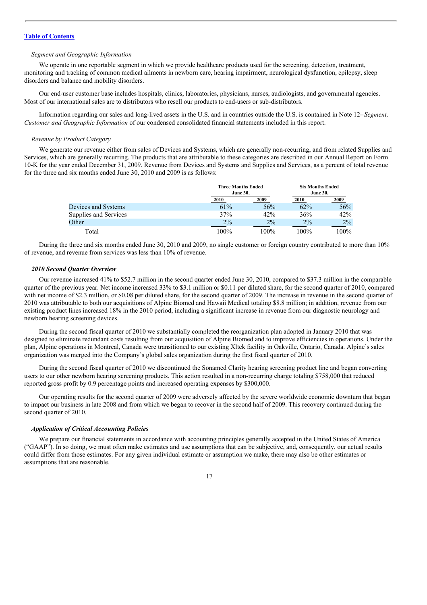#### *Segment and Geographic Information*

We operate in one reportable segment in which we provide healthcare products used for the screening, detection, treatment, monitoring and tracking of common medical ailments in newborn care, hearing impairment, neurological dysfunction, epilepsy, sleep disorders and balance and mobility disorders.

Our end-user customer base includes hospitals, clinics, laboratories, physicians, nurses, audiologists, and governmental agencies. Most of our international sales are to distributors who resell our products to end-users or sub-distributors.

Information regarding our sales and long-lived assets in the U.S. and in countries outside the U.S. is contained in Note 12–*Segment, Customer and Geographic Information* of our condensed consolidated financial statements included in this report.

#### *Revenue by Product Category*

We generate our revenue either from sales of Devices and Systems, which are generally non-recurring, and from related Supplies and Services, which are generally recurring. The products that are attributable to these categories are described in our Annual Report on Form 10-K for the year ended December 31, 2009. Revenue from Devices and Systems and Supplies and Services, as a percent of total revenue for the three and six months ended June 30, 2010 and 2009 is as follows:

|                       |         | <b>Three Months Ended</b><br><b>June 30.</b> |       | <b>Six Months Ended</b><br><b>June 30.</b> |
|-----------------------|---------|----------------------------------------------|-------|--------------------------------------------|
|                       | 2010    | 2009                                         | 2010  | 2009                                       |
| Devices and Systems   | 61%     | 56%                                          | 62%   | 56%                                        |
| Supplies and Services | 37%     | 42%                                          | 36%   | 42%                                        |
| Other                 | $2\%$   | $2\%$                                        | $2\%$ | $2\%$                                      |
| Total                 | $100\%$ | 100%                                         | 100%  | 100%                                       |

During the three and six months ended June 30, 2010 and 2009, no single customer or foreign country contributed to more than 10% of revenue, and revenue from services was less than 10% of revenue.

#### *2010 Second Quarter Overview*

Our revenue increased 41% to \$52.7 million in the second quarter ended June 30, 2010, compared to \$37.3 million in the comparable quarter of the previous year. Net income increased 33% to \$3.1 million or \$0.11 per diluted share, for the second quarter of 2010, compared with net income of \$2.3 million, or \$0.08 per diluted share, for the second quarter of 2009. The increase in revenue in the second quarter of 2010 was attributable to both our acquisitions of Alpine Biomed and Hawaii Medical totaling \$8.8 million; in addition, revenue from our existing product lines increased 18% in the 2010 period, including a significant increase in revenue from our diagnostic neurology and newborn hearing screening devices.

During the second fiscal quarter of 2010 we substantially completed the reorganization plan adopted in January 2010 that was designed to eliminate redundant costs resulting from our acquisition of Alpine Biomed and to improve efficiencies in operations. Under the plan, Alpine operations in Montreal, Canada were transitioned to our existing Xltek facility in Oakville, Ontario, Canada. Alpine's sales organization was merged into the Company's global sales organization during the first fiscal quarter of 2010.

During the second fiscal quarter of 2010 we discontinued the Sonamed Clarity hearing screening product line and began converting users to our other newborn hearing screening products. This action resulted in a non-recurring charge totaling \$758,000 that reduced reported gross profit by 0.9 percentage points and increased operating expenses by \$300,000.

Our operating results for the second quarter of 2009 were adversely affected by the severe worldwide economic downturn that began to impact our business in late 2008 and from which we began to recover in the second half of 2009. This recovery continued during the second quarter of 2010.

#### *Application of Critical Accounting Policies*

We prepare our financial statements in accordance with accounting principles generally accepted in the United States of America ("GAAP"). In so doing, we must often make estimates and use assumptions that can be subjective, and, consequently, our actual results could differ from those estimates. For any given individual estimate or assumption we make, there may also be other estimates or assumptions that are reasonable.

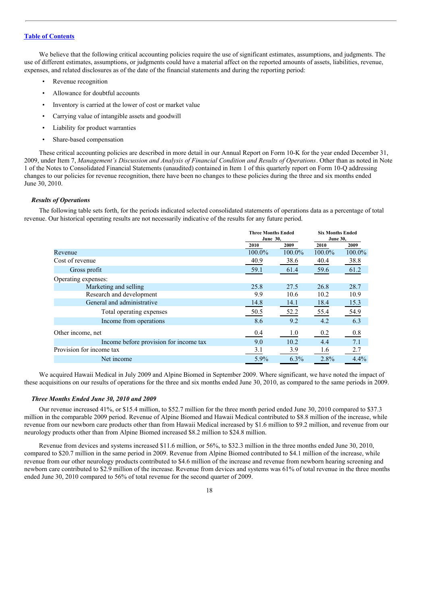We believe that the following critical accounting policies require the use of significant estimates, assumptions, and judgments. The use of different estimates, assumptions, or judgments could have a material affect on the reported amounts of assets, liabilities, revenue, expenses, and related disclosures as of the date of the financial statements and during the reporting period:

- Revenue recognition
- Allowance for doubtful accounts
- Inventory is carried at the lower of cost or market value
- Carrying value of intangible assets and goodwill
- Liability for product warranties
- Share-based compensation

These critical accounting policies are described in more detail in our Annual Report on Form 10-K for the year ended December 31, 2009, under Item 7, *Management's Discussion and Analysis of Financial Condition and Results of Operations*. Other than as noted in Note 1 of the Notes to Consolidated Financial Statements (unaudited) contained in Item 1 of this quarterly report on Form 10-Q addressing changes to our policies for revenue recognition, there have been no changes to these policies during the three and six months ended June 30, 2010.

#### *Results of Operations*

The following table sets forth, for the periods indicated selected consolidated statements of operations data as a percentage of total revenue. Our historical operating results are not necessarily indicative of the results for any future period.

|                                        |        | <b>Three Months Ended</b><br>June 30, |        | <b>Six Months Ended</b><br><b>June 30,</b> |
|----------------------------------------|--------|---------------------------------------|--------|--------------------------------------------|
|                                        | 2010   | 2009                                  | 2010   | 2009                                       |
| Revenue                                | 100.0% | 100.0%                                | 100.0% | 100.0%                                     |
| Cost of revenue                        | 40.9   | 38.6                                  | 40.4   | 38.8                                       |
| Gross profit                           | 59.1   | 61.4                                  | 59.6   | 61.2                                       |
| Operating expenses:                    |        |                                       |        |                                            |
| Marketing and selling                  | 25.8   | 27.5                                  | 26.8   | 28.7                                       |
| Research and development               | 9.9    | 10.6                                  | 10.2   | 10.9                                       |
| General and administrative             | 14.8   | 14.1                                  | 18.4   | 15.3                                       |
| Total operating expenses               | 50.5   | 52.2                                  | 55.4   | 54.9                                       |
| Income from operations                 | 8.6    | 9.2                                   | 4.2    | 6.3                                        |
| Other income, net                      | 0.4    | 1.0                                   | 0.2    | 0.8                                        |
| Income before provision for income tax | 9.0    | 10.2                                  | 4.4    | 7.1                                        |
| Provision for income tax               | 3.1    | 3.9                                   | 1.6    | 2.7                                        |
| Net income                             | 5.9%   | 6.3%                                  | 2.8%   | 4.4%                                       |

We acquired Hawaii Medical in July 2009 and Alpine Biomed in September 2009. Where significant, we have noted the impact of these acquisitions on our results of operations for the three and six months ended June 30, 2010, as compared to the same periods in 2009.

#### *Three Months Ended June 30, 2010 and 2009*

Our revenue increased 41%, or \$15.4 million, to \$52.7 million for the three month period ended June 30, 2010 compared to \$37.3 million in the comparable 2009 period. Revenue of Alpine Biomed and Hawaii Medical contributed to \$8.8 million of the increase, while revenue from our newborn care products other than from Hawaii Medical increased by \$1.6 million to \$9.2 million, and revenue from our neurology products other than from Alpine Biomed increased \$8.2 million to \$24.8 million.

Revenue from devices and systems increased \$11.6 million, or 56%, to \$32.3 million in the three months ended June 30, 2010, compared to \$20.7 million in the same period in 2009. Revenue from Alpine Biomed contributed to \$4.1 million of the increase, while revenue from our other neurology products contributed to \$4.6 million of the increase and revenue from newborn hearing screening and newborn care contributed to \$2.9 million of the increase. Revenue from devices and systems was 61% of total revenue in the three months ended June 30, 2010 compared to 56% of total revenue for the second quarter of 2009.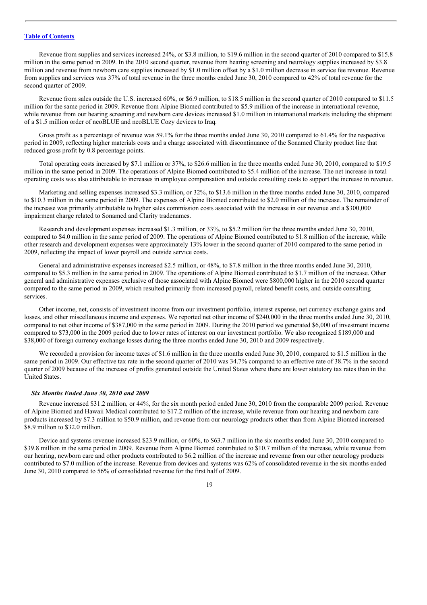Revenue from supplies and services increased 24%, or \$3.8 million, to \$19.6 million in the second quarter of 2010 compared to \$15.8 million in the same period in 2009. In the 2010 second quarter, revenue from hearing screening and neurology supplies increased by \$3.8 million and revenue from newborn care supplies increased by \$1.0 million offset by a \$1.0 million decrease in service fee revenue. Revenue from supplies and services was 37% of total revenue in the three months ended June 30, 2010 compared to 42% of total revenue for the second quarter of 2009.

Revenue from sales outside the U.S. increased 60%, or \$6.9 million, to \$18.5 million in the second quarter of 2010 compared to \$11.5 million for the same period in 2009. Revenue from Alpine Biomed contributed to \$5.9 million of the increase in international revenue, while revenue from our hearing screening and newborn care devices increased \$1.0 million in international markets including the shipment of a \$1.5 million order of neoBLUE and neoBLUE Cozy devices to Iraq.

Gross profit as a percentage of revenue was 59.1% for the three months ended June 30, 2010 compared to 61.4% for the respective period in 2009, reflecting higher materials costs and a charge associated with discontinuance of the Sonamed Clarity product line that reduced gross profit by 0.8 percentage points.

Total operating costs increased by \$7.1 million or 37%, to \$26.6 million in the three months ended June 30, 2010, compared to \$19.5 million in the same period in 2009. The operations of Alpine Biomed contributed to \$5.4 million of the increase. The net increase in total operating costs was also attributable to increases in employee compensation and outside consulting costs to support the increase in revenue.

Marketing and selling expenses increased \$3.3 million, or 32%, to \$13.6 million in the three months ended June 30, 2010, compared to \$10.3 million in the same period in 2009. The expenses of Alpine Biomed contributed to \$2.0 million of the increase. The remainder of the increase was primarily attributable to higher sales commission costs associated with the increase in our revenue and a \$300,000 impairment charge related to Sonamed and Clarity tradenames.

Research and development expenses increased \$1.3 million, or 33%, to \$5.2 million for the three months ended June 30, 2010, compared to \$4.0 million in the same period of 2009. The operations of Alpine Biomed contributed to \$1.8 million of the increase, while other research and development expenses were approximately 13% lower in the second quarter of 2010 compared to the same period in 2009, reflecting the impact of lower payroll and outside service costs.

General and administrative expenses increased \$2.5 million, or 48%, to \$7.8 million in the three months ended June 30, 2010, compared to \$5.3 million in the same period in 2009. The operations of Alpine Biomed contributed to \$1.7 million of the increase. Other general and administrative expenses exclusive of those associated with Alpine Biomed were \$800,000 higher in the 2010 second quarter compared to the same period in 2009, which resulted primarily from increased payroll, related benefit costs, and outside consulting services.

Other income, net, consists of investment income from our investment portfolio, interest expense, net currency exchange gains and losses, and other miscellaneous income and expenses. We reported net other income of \$240,000 in the three months ended June 30, 2010, compared to net other income of \$387,000 in the same period in 2009. During the 2010 period we generated \$6,000 of investment income compared to \$73,000 in the 2009 period due to lower rates of interest on our investment portfolio. We also recognized \$189,000 and \$38,000 of foreign currency exchange losses during the three months ended June 30, 2010 and 2009 respectively.

We recorded a provision for income taxes of \$1.6 million in the three months ended June 30, 2010, compared to \$1.5 million in the same period in 2009. Our effective tax rate in the second quarter of 2010 was 34.7% compared to an effective rate of 38.7% in the second quarter of 2009 because of the increase of profits generated outside the United States where there are lower statutory tax rates than in the United States.

#### *Six Months Ended June 30, 2010 and 2009*

Revenue increased \$31.2 million, or 44%, for the six month period ended June 30, 2010 from the comparable 2009 period. Revenue of Alpine Biomed and Hawaii Medical contributed to \$17.2 million of the increase, while revenue from our hearing and newborn care products increased by \$7.3 million to \$50.9 million, and revenue from our neurology products other than from Alpine Biomed increased \$8.9 million to \$32.0 million.

Device and systems revenue increased \$23.9 million, or 60%, to \$63.7 million in the six months ended June 30, 2010 compared to \$39.8 million in the same period in 2009. Revenue from Alpine Biomed contributed to \$10.7 million of the increase, while revenue from our hearing, newborn care and other products contributed to \$6.2 million of the increase and revenue from our other neurology products contributed to \$7.0 million of the increase. Revenue from devices and systems was 62% of consolidated revenue in the six months ended June 30, 2010 compared to 56% of consolidated revenue for the first half of 2009.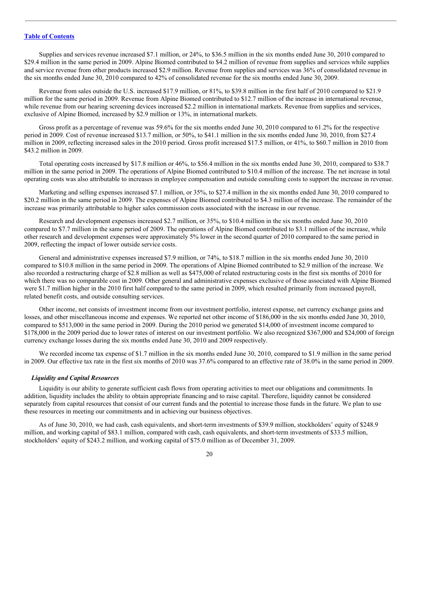Supplies and services revenue increased \$7.1 million, or 24%, to \$36.5 million in the six months ended June 30, 2010 compared to \$29.4 million in the same period in 2009. Alpine Biomed contributed to \$4.2 million of revenue from supplies and services while supplies and service revenue from other products increased \$2.9 million. Revenue from supplies and services was 36% of consolidated revenue in the six months ended June 30, 2010 compared to 42% of consolidated revenue for the six months ended June 30, 2009.

Revenue from sales outside the U.S. increased \$17.9 million, or 81%, to \$39.8 million in the first half of 2010 compared to \$21.9 million for the same period in 2009. Revenue from Alpine Biomed contributed to \$12.7 million of the increase in international revenue, while revenue from our hearing screening devices increased \$2.2 million in international markets. Revenue from supplies and services, exclusive of Alpine Biomed, increased by \$2.9 million or 13%, in international markets.

Gross profit as a percentage of revenue was 59.6% for the six months ended June 30, 2010 compared to 61.2% for the respective period in 2009. Cost of revenue increased \$13.7 million, or 50%, to \$41.1 million in the six months ended June 30, 2010, from \$27.4 million in 2009, reflecting increased sales in the 2010 period. Gross profit increased \$17.5 million, or 41%, to \$60.7 million in 2010 from \$43.2 million in 2009.

Total operating costs increased by \$17.8 million or 46%, to \$56.4 million in the six months ended June 30, 2010, compared to \$38.7 million in the same period in 2009. The operations of Alpine Biomed contributed to \$10.4 million of the increase. The net increase in total operating costs was also attributable to increases in employee compensation and outside consulting costs to support the increase in revenue.

Marketing and selling expenses increased \$7.1 million, or 35%, to \$27.4 million in the six months ended June 30, 2010 compared to \$20.2 million in the same period in 2009. The expenses of Alpine Biomed contributed to \$4.3 million of the increase. The remainder of the increase was primarily attributable to higher sales commission costs associated with the increase in our revenue.

Research and development expenses increased \$2.7 million, or 35%, to \$10.4 million in the six months ended June 30, 2010 compared to \$7.7 million in the same period of 2009. The operations of Alpine Biomed contributed to \$3.1 million of the increase, while other research and development expenses were approximately 5% lower in the second quarter of 2010 compared to the same period in 2009, reflecting the impact of lower outside service costs.

General and administrative expenses increased \$7.9 million, or 74%, to \$18.7 million in the six months ended June 30, 2010 compared to \$10.8 million in the same period in 2009. The operations of Alpine Biomed contributed to \$2.9 million of the increase. We also recorded a restructuring charge of \$2.8 million as well as \$475,000 of related restructuring costs in the first six months of 2010 for which there was no comparable cost in 2009. Other general and administrative expenses exclusive of those associated with Alpine Biomed were \$1.7 million higher in the 2010 first half compared to the same period in 2009, which resulted primarily from increased payroll, related benefit costs, and outside consulting services.

Other income, net consists of investment income from our investment portfolio, interest expense, net currency exchange gains and losses, and other miscellaneous income and expenses. We reported net other income of \$186,000 in the six months ended June 30, 2010, compared to \$513,000 in the same period in 2009. During the 2010 period we generated \$14,000 of investment income compared to \$178,000 in the 2009 period due to lower rates of interest on our investment portfolio. We also recognized \$367,000 and \$24,000 of foreign currency exchange losses during the six months ended June 30, 2010 and 2009 respectively.

We recorded income tax expense of \$1.7 million in the six months ended June 30, 2010, compared to \$1.9 million in the same period in 2009. Our effective tax rate in the first six months of 2010 was 37.6% compared to an effective rate of 38.0% in the same period in 2009.

#### *Liquidity and Capital Resources*

Liquidity is our ability to generate sufficient cash flows from operating activities to meet our obligations and commitments. In addition, liquidity includes the ability to obtain appropriate financing and to raise capital. Therefore, liquidity cannot be considered separately from capital resources that consist of our current funds and the potential to increase those funds in the future. We plan to use these resources in meeting our commitments and in achieving our business objectives.

As of June 30, 2010, we had cash, cash equivalents, and short-term investments of \$39.9 million, stockholders' equity of \$248.9 million, and working capital of \$83.1 million, compared with cash, cash equivalents, and short-term investments of \$33.5 million, stockholders' equity of \$243.2 million, and working capital of \$75.0 million as of December 31, 2009.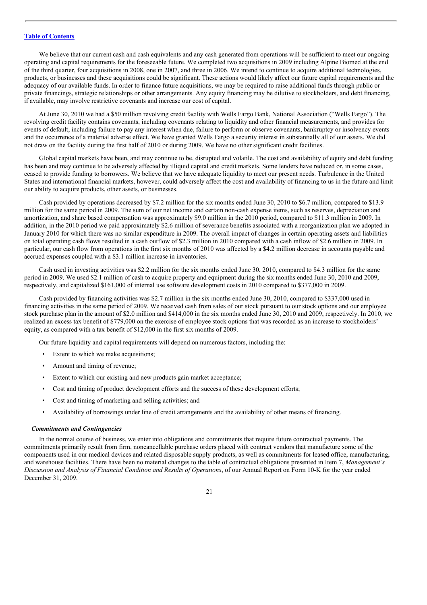We believe that our current cash and cash equivalents and any cash generated from operations will be sufficient to meet our ongoing operating and capital requirements for the foreseeable future. We completed two acquisitions in 2009 including Alpine Biomed at the end of the third quarter, four acquisitions in 2008, one in 2007, and three in 2006. We intend to continue to acquire additional technologies, products, or businesses and these acquisitions could be significant. These actions would likely affect our future capital requirements and the adequacy of our available funds. In order to finance future acquisitions, we may be required to raise additional funds through public or private financings, strategic relationships or other arrangements. Any equity financing may be dilutive to stockholders, and debt financing, if available, may involve restrictive covenants and increase our cost of capital.

At June 30, 2010 we had a \$50 million revolving credit facility with Wells Fargo Bank, National Association ("Wells Fargo"). The revolving credit facility contains covenants, including covenants relating to liquidity and other financial measurements, and provides for events of default, including failure to pay any interest when due, failure to perform or observe covenants, bankruptcy or insolvency events and the occurrence of a material adverse effect. We have granted Wells Fargo a security interest in substantially all of our assets. We did not draw on the facility during the first half of 2010 or during 2009. We have no other significant credit facilities.

Global capital markets have been, and may continue to be, disrupted and volatile. The cost and availability of equity and debt funding has been and may continue to be adversely affected by illiquid capital and credit markets. Some lenders have reduced or, in some cases, ceased to provide funding to borrowers. We believe that we have adequate liquidity to meet our present needs. Turbulence in the United States and international financial markets, however, could adversely affect the cost and availability of financing to us in the future and limit our ability to acquire products, other assets, or businesses.

Cash provided by operations decreased by \$7.2 million for the six months ended June 30, 2010 to \$6.7 million, compared to \$13.9 million for the same period in 2009. The sum of our net income and certain non-cash expense items, such as reserves, depreciation and amortization, and share based compensation was approximately \$9.0 million in the 2010 period, compared to \$11.3 million in 2009. In addition, in the 2010 period we paid approximately \$2.6 million of severance benefits associated with a reorganization plan we adopted in January 2010 for which there was no similar expenditure in 2009. The overall impact of changes in certain operating assets and liabilities on total operating cash flows resulted in a cash outflow of \$2.3 million in 2010 compared with a cash inflow of \$2.6 million in 2009. In particular, our cash flow from operations in the first six months of 2010 was affected by a \$4.2 million decrease in accounts payable and accrued expenses coupled with a \$3.1 million increase in inventories.

Cash used in investing activities was \$2.2 million for the six months ended June 30, 2010, compared to \$4.3 million for the same period in 2009. We used \$2.1 million of cash to acquire property and equipment during the six months ended June 30, 2010 and 2009, respectively, and capitalized \$161,000 of internal use software development costs in 2010 compared to \$377,000 in 2009.

Cash provided by financing activities was \$2.7 million in the six months ended June 30, 2010, compared to \$337,000 used in financing activities in the same period of 2009. We received cash from sales of our stock pursuant to our stock options and our employee stock purchase plan in the amount of \$2.0 million and \$414,000 in the six months ended June 30, 2010 and 2009, respectively. In 2010, we realized an excess tax benefit of \$779,000 on the exercise of employee stock options that was recorded as an increase to stockholders' equity, as compared with a tax benefit of \$12,000 in the first six months of 2009.

Our future liquidity and capital requirements will depend on numerous factors, including the:

- Extent to which we make acquisitions;
- Amount and timing of revenue;
- Extent to which our existing and new products gain market acceptance;
- Cost and timing of product development efforts and the success of these development efforts;
- Cost and timing of marketing and selling activities; and
- Availability of borrowings under line of credit arrangements and the availability of other means of financing.

#### *Commitments and Contingencies*

In the normal course of business, we enter into obligations and commitments that require future contractual payments. The commitments primarily result from firm, noncancellable purchase orders placed with contract vendors that manufacture some of the components used in our medical devices and related disposable supply products, as well as commitments for leased office, manufacturing, and warehouse facilities. There have been no material changes to the table of contractual obligations presented in Item 7, *Management's Discussion and Analysis of Financial Condition and Results of Operations*, of our Annual Report on Form 10-K for the year ended December 31, 2009.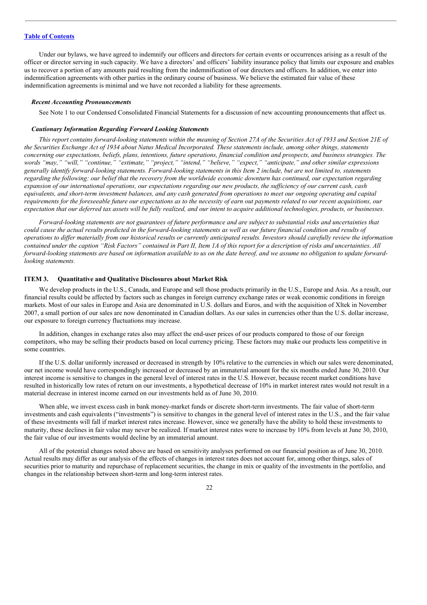Under our bylaws, we have agreed to indemnify our officers and directors for certain events or occurrences arising as a result of the officer or director serving in such capacity. We have a directors' and officers' liability insurance policy that limits our exposure and enables us to recover a portion of any amounts paid resulting from the indemnification of our directors and officers. In addition, we enter into indemnification agreements with other parties in the ordinary course of business. We believe the estimated fair value of these indemnification agreements is minimal and we have not recorded a liability for these agreements.

#### *Recent Accounting Pronouncements*

See Note 1 to our Condensed Consolidated Financial Statements for a discussion of new accounting pronouncements that affect us.

#### *Cautionary Information Regarding Forward Looking Statements*

This report contains forward-looking statements within the meaning of Section 27A of the Securities Act of 1933 and Section 21E of the Securities Exchange Act of 1934 about Natus Medical Incorporated. These statements include, among other things, statements concerning our expectations, beliefs, plans, intentions, future operations, financial condition and prospects, and business strategies. The words "may," "will," "continue," "estimate," "project," "intend," "believe," "expect," "anticipate," and other similar expressions generally identify forward-looking statements. Forward-looking statements in this Item 2 include, but are not limited to, statements regarding the following: our belief that the recovery from the worldwide economic downturn has continued, our expectation regarding expansion of our international operations, our expectations regarding our new products, the sufficiency of our current cash, cash equivalents, and short-term investment balances, and any cash generated from operations to meet our ongoing operating and capital requirements for the foreseeable future our expectations as to the necessity of earn out payments related to our recent acquisitions, our expectation that our deferred tax assets will be fully realized, and our intent to acquire additional technologies, products, or businesses.

Forward-looking statements are not guarantees of future performance and are subject to substantial risks and uncertainties that could cause the actual results predicted in the forward-looking statements as well as our future financial condition and results of operations to differ materially from our historical results or currently anticipated results. Investors should carefully review the information contained under the caption "Risk Factors" contained in Part II, Item 1A of this report for a description of risks and uncertainties. All forward-looking statements are based on information available to us on the date hereof, and we assume no obligation to update forward*looking statements.*

#### **ITEM 3. Quantitative and Qualitative Disclosures about Market Risk**

We develop products in the U.S., Canada, and Europe and sell those products primarily in the U.S., Europe and Asia. As a result, our financial results could be affected by factors such as changes in foreign currency exchange rates or weak economic conditions in foreign markets. Most of our sales in Europe and Asia are denominated in U.S. dollars and Euros, and with the acquisition of Xltek in November 2007, a small portion of our sales are now denominated in Canadian dollars. As our sales in currencies other than the U.S. dollar increase, our exposure to foreign currency fluctuations may increase.

In addition, changes in exchange rates also may affect the end-user prices of our products compared to those of our foreign competitors, who may be selling their products based on local currency pricing. These factors may make our products less competitive in some countries.

If the U.S. dollar uniformly increased or decreased in strength by 10% relative to the currencies in which our sales were denominated, our net income would have correspondingly increased or decreased by an immaterial amount for the six months ended June 30, 2010. Our interest income is sensitive to changes in the general level of interest rates in the U.S. However, because recent market conditions have resulted in historically low rates of return on our investments, a hypothetical decrease of 10% in market interest rates would not result in a material decrease in interest income earned on our investments held as of June 30, 2010.

When able, we invest excess cash in bank money-market funds or discrete short-term investments. The fair value of short-term investments and cash equivalents ("investments") is sensitive to changes in the general level of interest rates in the U.S., and the fair value of these investments will fall if market interest rates increase. However, since we generally have the ability to hold these investments to maturity, these declines in fair value may never be realized. If market interest rates were to increase by 10% from levels at June 30, 2010, the fair value of our investments would decline by an immaterial amount.

All of the potential changes noted above are based on sensitivity analyses performed on our financial position as of June 30, 2010. Actual results may differ as our analysis of the effects of changes in interest rates does not account for, among other things, sales of securities prior to maturity and repurchase of replacement securities, the change in mix or quality of the investments in the portfolio, and changes in the relationship between short-term and long-term interest rates.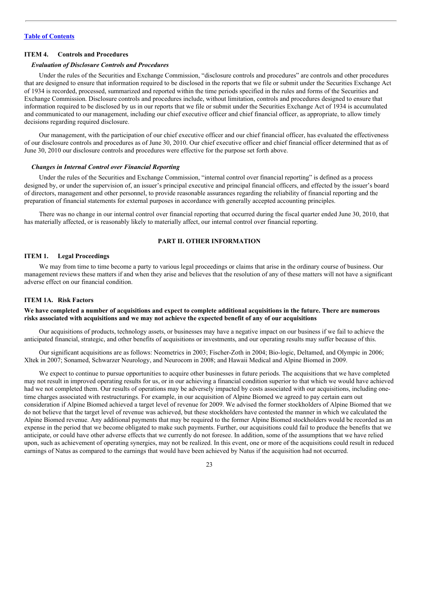#### **ITEM 4. Controls and Procedures**

#### *Evaluation of Disclosure Controls and Procedures*

Under the rules of the Securities and Exchange Commission, "disclosure controls and procedures" are controls and other procedures that are designed to ensure that information required to be disclosed in the reports that we file or submit under the Securities Exchange Act of 1934 is recorded, processed, summarized and reported within the time periods specified in the rules and forms of the Securities and Exchange Commission. Disclosure controls and procedures include, without limitation, controls and procedures designed to ensure that information required to be disclosed by us in our reports that we file or submit under the Securities Exchange Act of 1934 is accumulated and communicated to our management, including our chief executive officer and chief financial officer, as appropriate, to allow timely decisions regarding required disclosure.

Our management, with the participation of our chief executive officer and our chief financial officer, has evaluated the effectiveness of our disclosure controls and procedures as of June 30, 2010. Our chief executive officer and chief financial officer determined that as of June 30, 2010 our disclosure controls and procedures were effective for the purpose set forth above.

#### *Changes in Internal Control over Financial Reporting*

Under the rules of the Securities and Exchange Commission, "internal control over financial reporting" is defined as a process designed by, or under the supervision of, an issuer's principal executive and principal financial officers, and effected by the issuer's board of directors, management and other personnel, to provide reasonable assurances regarding the reliability of financial reporting and the preparation of financial statements for external purposes in accordance with generally accepted accounting principles.

There was no change in our internal control over financial reporting that occurred during the fiscal quarter ended June 30, 2010, that has materially affected, or is reasonably likely to materially affect, our internal control over financial reporting.

#### **PART II. OTHER INFORMATION**

#### **ITEM 1. Legal Proceedings**

We may from time to time become a party to various legal proceedings or claims that arise in the ordinary course of business. Our management reviews these matters if and when they arise and believes that the resolution of any of these matters will not have a significant adverse effect on our financial condition.

#### **ITEM 1A. Risk Factors**

#### We have completed a number of acquisitions and expect to complete additional acquisitions in the future. There are numerous **risks associated with acquisitions and we may not achieve the expected benefit of any of our acquisitions**

Our acquisitions of products, technology assets, or businesses may have a negative impact on our business if we fail to achieve the anticipated financial, strategic, and other benefits of acquisitions or investments, and our operating results may suffer because of this.

Our significant acquisitions are as follows: Neometrics in 2003; Fischer-Zoth in 2004; Bio-logic, Deltamed, and Olympic in 2006; Xltek in 2007; Sonamed, Schwarzer Neurology, and Neurocom in 2008; and Hawaii Medical and Alpine Biomed in 2009.

We expect to continue to pursue opportunities to acquire other businesses in future periods. The acquisitions that we have completed may not result in improved operating results for us, or in our achieving a financial condition superior to that which we would have achieved had we not completed them. Our results of operations may be adversely impacted by costs associated with our acquisitions, including onetime charges associated with restructurings. For example, in our acquisition of Alpine Biomed we agreed to pay certain earn out consideration if Alpine Biomed achieved a target level of revenue for 2009. We advised the former stockholders of Alpine Biomed that we do not believe that the target level of revenue was achieved, but these stockholders have contested the manner in which we calculated the Alpine Biomed revenue. Any additional payments that may be required to the former Alpine Biomed stockholders would be recorded as an expense in the period that we become obligated to make such payments. Further, our acquisitions could fail to produce the benefits that we anticipate, or could have other adverse effects that we currently do not foresee. In addition, some of the assumptions that we have relied upon, such as achievement of operating synergies, may not be realized. In this event, one or more of the acquisitions could result in reduced earnings of Natus as compared to the earnings that would have been achieved by Natus if the acquisition had not occurred.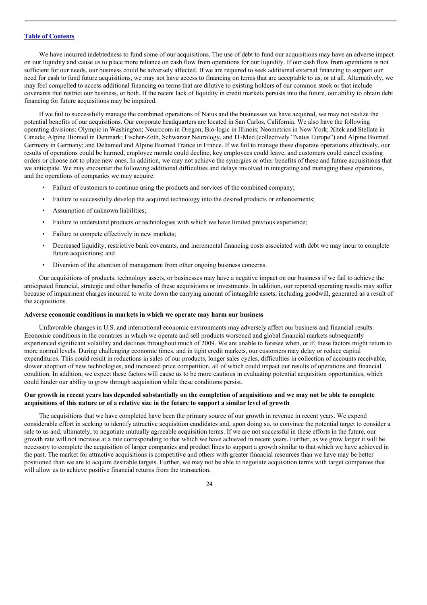We have incurred indebtedness to fund some of our acquisitions. The use of debt to fund our acquisitions may have an adverse impact on our liquidity and cause us to place more reliance on cash flow from operations for our liquidity. If our cash flow from operations is not sufficient for our needs, our business could be adversely affected. If we are required to seek additional external financing to support our need for cash to fund future acquisitions, we may not have access to financing on terms that are acceptable to us, or at all. Alternatively, we may feel compelled to access additional financing on terms that are dilutive to existing holders of our common stock or that include covenants that restrict our business, or both. If the recent lack of liquidity in credit markets persists into the future, our ability to obtain debt financing for future acquisitions may be impaired.

If we fail to successfully manage the combined operations of Natus and the businesses we have acquired, we may not realize the potential benefits of our acquisitions. Our corporate headquarters are located in San Carlos, California. We also have the following operating divisions: Olympic in Washington; Neurocom in Oregon; Bio-logic in Illinois; Neometrics in New York; Xltek and Stellate in Canada; Alpine Biomed in Denmark; Fischer-Zoth, Schwarzer Neurology, and IT-Med (collectively "Natus Europe") and Alpine Biomed Germany in Germany; and Deltamed and Alpine Biomed France in France. If we fail to manage these disparate operations effectively, our results of operations could be harmed, employee morale could decline, key employees could leave, and customers could cancel existing orders or choose not to place new ones. In addition, we may not achieve the synergies or other benefits of these and future acquisitions that we anticipate. We may encounter the following additional difficulties and delays involved in integrating and managing these operations, and the operations of companies we may acquire:

- Failure of customers to continue using the products and services of the combined company;
- Failure to successfully develop the acquired technology into the desired products or enhancements;
- Assumption of unknown liabilities;
- Failure to understand products or technologies with which we have limited previous experience;
- Failure to compete effectively in new markets:
- Decreased liquidity, restrictive bank covenants, and incremental financing costs associated with debt we may incur to complete future acquisitions; and
- Diversion of the attention of management from other ongoing business concerns.

Our acquisitions of products, technology assets, or businesses may have a negative impact on our business if we fail to achieve the anticipated financial, strategic and other benefits of these acquisitions or investments. In addition, our reported operating results may suffer because of impairment charges incurred to write down the carrying amount of intangible assets, including goodwill, generated as a result of the acquisitions.

#### **Adverse economic conditions in markets in which we operate may harm our business**

Unfavorable changes in U.S. and international economic environments may adversely affect our business and financial results. Economic conditions in the countries in which we operate and sell products worsened and global financial markets subsequently experienced significant volatility and declines throughout much of 2009. We are unable to foresee when, or if, these factors might return to more normal levels. During challenging economic times, and in tight credit markets, our customers may delay or reduce capital expenditures. This could result in reductions in sales of our products, longer sales cycles, difficulties in collection of accounts receivable, slower adoption of new technologies, and increased price competition, all of which could impact our results of operations and financial condition. In addition, we expect these factors will cause us to be more cautious in evaluating potential acquisition opportunities, which could hinder our ability to grow through acquisition while these conditions persist.

#### Our growth in recent years has depended substantially on the completion of acquisitions and we may not be able to complete acquisitions of this nature or of a relative size in the future to support a similar level of growth

The acquisitions that we have completed have been the primary source of our growth in revenue in recent years. We expend considerable effort in seeking to identify attractive acquisition candidates and, upon doing so, to convince the potential target to consider a sale to us and, ultimately, to negotiate mutually agreeable acquisition terms. If we are not successful in these efforts in the future, our growth rate will not increase at a rate corresponding to that which we have achieved in recent years. Further, as we grow larger it will be necessary to complete the acquisition of larger companies and product lines to support a growth similar to that which we have achieved in the past. The market for attractive acquisitions is competitive and others with greater financial resources than we have may be better positioned than we are to acquire desirable targets. Further, we may not be able to negotiate acquisition terms with target companies that will allow us to achieve positive financial returns from the transaction.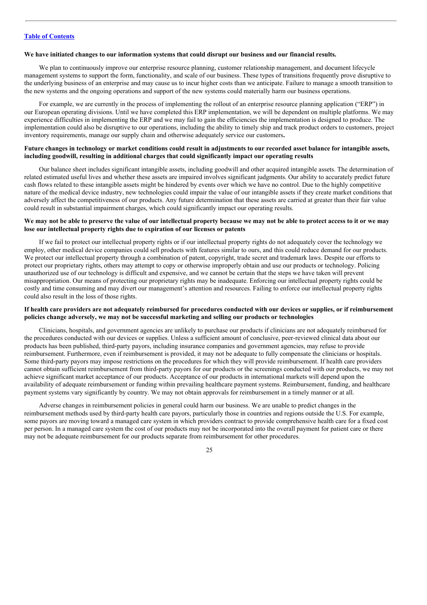#### We have initiated changes to our information systems that could disrupt our business and our financial results.

We plan to continuously improve our enterprise resource planning, customer relationship management, and document lifecycle management systems to support the form, functionality, and scale of our business. These types of transitions frequently prove disruptive to the underlying business of an enterprise and may cause us to incur higher costs than we anticipate. Failure to manage a smooth transition to the new systems and the ongoing operations and support of the new systems could materially harm our business operations.

For example, we are currently in the process of implementing the rollout of an enterprise resource planning application ("ERP") in our European operating divisions. Until we have completed this ERP implementation, we will be dependent on multiple platforms. We may experience difficulties in implementing the ERP and we may fail to gain the efficiencies the implementation is designed to produce. The implementation could also be disruptive to our operations, including the ability to timely ship and track product orders to customers, project inventory requirements, manage our supply chain and otherwise adequately service our customers**.**

#### Future changes in technology or market conditions could result in adjustments to our recorded asset balance for intangible assets, **including goodwill, resulting in additional charges that could significantly impact our operating results**

Our balance sheet includes significant intangible assets, including goodwill and other acquired intangible assets. The determination of related estimated useful lives and whether these assets are impaired involves significant judgments. Our ability to accurately predict future cash flows related to these intangible assets might be hindered by events over which we have no control. Due to the highly competitive nature of the medical device industry, new technologies could impair the value of our intangible assets if they create market conditions that adversely affect the competitiveness of our products. Any future determination that these assets are carried at greater than their fair value could result in substantial impairment charges, which could significantly impact our operating results.

#### We may not be able to preserve the value of our intellectual property because we may not be able to protect access to it or we may **lose our intellectual property rights due to expiration of our licenses or patents**

If we fail to protect our intellectual property rights or if our intellectual property rights do not adequately cover the technology we employ, other medical device companies could sell products with features similar to ours, and this could reduce demand for our products. We protect our intellectual property through a combination of patent, copyright, trade secret and trademark laws. Despite our efforts to protect our proprietary rights, others may attempt to copy or otherwise improperly obtain and use our products or technology. Policing unauthorized use of our technology is difficult and expensive, and we cannot be certain that the steps we have taken will prevent misappropriation. Our means of protecting our proprietary rights may be inadequate. Enforcing our intellectual property rights could be costly and time consuming and may divert our management's attention and resources. Failing to enforce our intellectual property rights could also result in the loss of those rights.

#### If health care providers are not adequately reimbursed for procedures conducted with our devices or supplies, or if reimbursement **policies change adversely, we may not be successful marketing and selling our products or technologies**

Clinicians, hospitals, and government agencies are unlikely to purchase our products if clinicians are not adequately reimbursed for the procedures conducted with our devices or supplies. Unless a sufficient amount of conclusive, peer-reviewed clinical data about our products has been published, third-party payors, including insurance companies and government agencies, may refuse to provide reimbursement. Furthermore, even if reimbursement is provided, it may not be adequate to fully compensate the clinicians or hospitals. Some third-party payors may impose restrictions on the procedures for which they will provide reimbursement. If health care providers cannot obtain sufficient reimbursement from third-party payors for our products or the screenings conducted with our products, we may not achieve significant market acceptance of our products. Acceptance of our products in international markets will depend upon the availability of adequate reimbursement or funding within prevailing healthcare payment systems. Reimbursement, funding, and healthcare payment systems vary significantly by country. We may not obtain approvals for reimbursement in a timely manner or at all.

Adverse changes in reimbursement policies in general could harm our business. We are unable to predict changes in the reimbursement methods used by third-party health care payors, particularly those in countries and regions outside the U.S. For example, some payors are moving toward a managed care system in which providers contract to provide comprehensive health care for a fixed cost per person. In a managed care system the cost of our products may not be incorporated into the overall payment for patient care or there may not be adequate reimbursement for our products separate from reimbursement for other procedures.

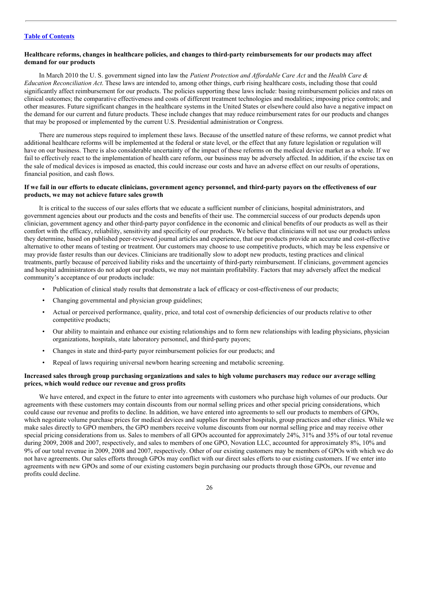#### Healthcare reforms, changes in healthcare policies, and changes to third-party reimbursements for our products may affect **demand for our products**

In March 2010 the U. S. government signed into law the *Patient Protection and Affordable Care Act* and the *Health Care* & *Education Reconciliation Act*. These laws are intended to, among other things, curb rising healthcare costs, including those that could significantly affect reimbursement for our products. The policies supporting these laws include: basing reimbursement policies and rates on clinical outcomes; the comparative effectiveness and costs of different treatment technologies and modalities; imposing price controls; and other measures. Future significant changes in the healthcare systems in the United States or elsewhere could also have a negative impact on the demand for our current and future products. These include changes that may reduce reimbursement rates for our products and changes that may be proposed or implemented by the current U.S. Presidential administration or Congress.

There are numerous steps required to implement these laws. Because of the unsettled nature of these reforms, we cannot predict what additional healthcare reforms will be implemented at the federal or state level, or the effect that any future legislation or regulation will have on our business. There is also considerable uncertainty of the impact of these reforms on the medical device market as a whole. If we fail to effectively react to the implementation of health care reform, our business may be adversely affected. In addition, if the excise tax on the sale of medical devices is imposed as enacted, this could increase our costs and have an adverse effect on our results of operations, financial position, and cash flows.

#### If we fail in our efforts to educate clinicians, government agency personnel, and third-party payors on the effectiveness of our **products, we may not achieve future sales growth**

It is critical to the success of our sales efforts that we educate a sufficient number of clinicians, hospital administrators, and government agencies about our products and the costs and benefits of their use. The commercial success of our products depends upon clinician, government agency and other third-party payor confidence in the economic and clinical benefits of our products as well as their comfort with the efficacy, reliability, sensitivity and specificity of our products. We believe that clinicians will not use our products unless they determine, based on published peer-reviewed journal articles and experience, that our products provide an accurate and cost-effective alternative to other means of testing or treatment. Our customers may choose to use competitive products, which may be less expensive or may provide faster results than our devices. Clinicians are traditionally slow to adopt new products, testing practices and clinical treatments, partly because of perceived liability risks and the uncertainty of third-party reimbursement. If clinicians, government agencies and hospital administrators do not adopt our products, we may not maintain profitability. Factors that may adversely affect the medical community's acceptance of our products include:

- Publication of clinical study results that demonstrate a lack of efficacy or cost-effectiveness of our products;
- Changing governmental and physician group guidelines;
- Actual or perceived performance, quality, price, and total cost of ownership deficiencies of our products relative to other competitive products;
- Our ability to maintain and enhance our existing relationships and to form new relationships with leading physicians, physician organizations, hospitals, state laboratory personnel, and third-party payors;
- Changes in state and third-party payor reimbursement policies for our products; and
- Repeal of laws requiring universal newborn hearing screening and metabolic screening.

#### Increased sales through group purchasing organizations and sales to high volume purchasers may reduce our average selling **prices, which would reduce our revenue and gross profits**

We have entered, and expect in the future to enter into agreements with customers who purchase high volumes of our products. Our agreements with these customers may contain discounts from our normal selling prices and other special pricing considerations, which could cause our revenue and profits to decline. In addition, we have entered into agreements to sell our products to members of GPOs, which negotiate volume purchase prices for medical devices and supplies for member hospitals, group practices and other clinics. While we make sales directly to GPO members, the GPO members receive volume discounts from our normal selling price and may receive other special pricing considerations from us. Sales to members of all GPOs accounted for approximately 24%, 31% and 35% of our total revenue during 2009, 2008 and 2007, respectively, and sales to members of one GPO, Novation LLC, accounted for approximately 8%, 10% and 9% of our total revenue in 2009, 2008 and 2007, respectively. Other of our existing customers may be members of GPOs with which we do not have agreements. Our sales efforts through GPOs may conflict with our direct sales efforts to our existing customers. If we enter into agreements with new GPOs and some of our existing customers begin purchasing our products through those GPOs, our revenue and profits could decline.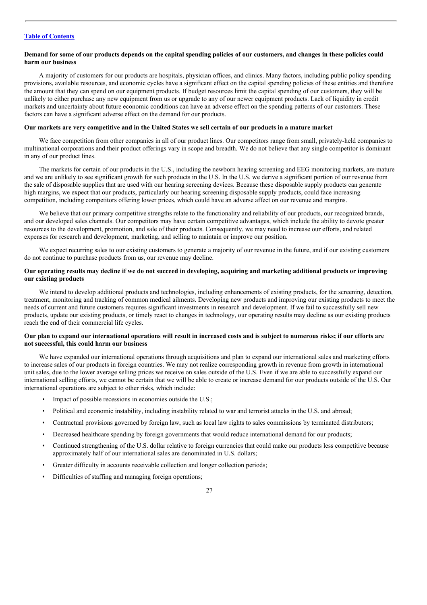#### Demand for some of our products depends on the capital spending policies of our customers, and changes in these policies could **harm our business**

A majority of customers for our products are hospitals, physician offices, and clinics. Many factors, including public policy spending provisions, available resources, and economic cycles have a significant effect on the capital spending policies of these entities and therefore the amount that they can spend on our equipment products. If budget resources limit the capital spending of our customers, they will be unlikely to either purchase any new equipment from us or upgrade to any of our newer equipment products. Lack of liquidity in credit markets and uncertainty about future economic conditions can have an adverse effect on the spending patterns of our customers. These factors can have a significant adverse effect on the demand for our products.

#### Our markets are very competitive and in the United States we sell certain of our products in a mature market

We face competition from other companies in all of our product lines. Our competitors range from small, privately-held companies to multinational corporations and their product offerings vary in scope and breadth. We do not believe that any single competitor is dominant in any of our product lines.

The markets for certain of our products in the U.S., including the newborn hearing screening and EEG monitoring markets, are mature and we are unlikely to see significant growth for such products in the U.S. In the U.S. we derive a significant portion of our revenue from the sale of disposable supplies that are used with our hearing screening devices. Because these disposable supply products can generate high margins, we expect that our products, particularly our hearing screening disposable supply products, could face increasing competition, including competitors offering lower prices, which could have an adverse affect on our revenue and margins.

We believe that our primary competitive strengths relate to the functionality and reliability of our products, our recognized brands, and our developed sales channels. Our competitors may have certain competitive advantages, which include the ability to devote greater resources to the development, promotion, and sale of their products. Consequently, we may need to increase our efforts, and related expenses for research and development, marketing, and selling to maintain or improve our position.

We expect recurring sales to our existing customers to generate a majority of our revenue in the future, and if our existing customers do not continue to purchase products from us, our revenue may decline.

#### Our operating results may decline if we do not succeed in developing, acquiring and marketing additional products or improving **our existing products**

We intend to develop additional products and technologies, including enhancements of existing products, for the screening, detection, treatment, monitoring and tracking of common medical ailments. Developing new products and improving our existing products to meet the needs of current and future customers requires significant investments in research and development. If we fail to successfully sell new products, update our existing products, or timely react to changes in technology, our operating results may decline as our existing products reach the end of their commercial life cycles.

#### Our plan to expand our international operations will result in increased costs and is subject to numerous risks; if our efforts are **not successful, this could harm our business**

We have expanded our international operations through acquisitions and plan to expand our international sales and marketing efforts to increase sales of our products in foreign countries. We may not realize corresponding growth in revenue from growth in international unit sales, due to the lower average selling prices we receive on sales outside of the U.S. Even if we are able to successfully expand our international selling efforts, we cannot be certain that we will be able to create or increase demand for our products outside of the U.S. Our international operations are subject to other risks, which include:

- Impact of possible recessions in economies outside the U.S.;
- Political and economic instability, including instability related to war and terrorist attacks in the U.S. and abroad;
- Contractual provisions governed by foreign law, such as local law rights to sales commissions by terminated distributors;
- Decreased healthcare spending by foreign governments that would reduce international demand for our products;
- Continued strengthening of the U.S. dollar relative to foreign currencies that could make our products less competitive because approximately half of our international sales are denominated in U.S. dollars;
- Greater difficulty in accounts receivable collection and longer collection periods;
- Difficulties of staffing and managing foreign operations;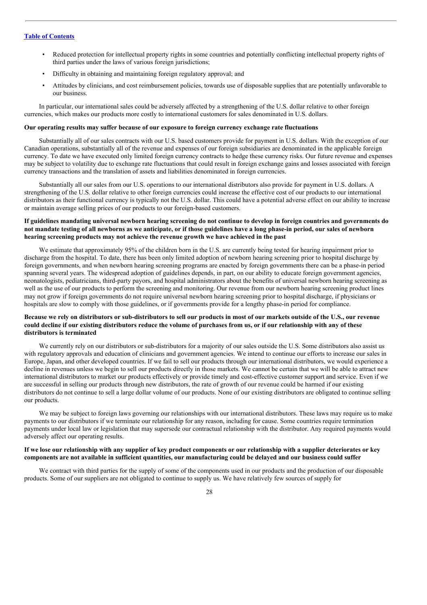- Reduced protection for intellectual property rights in some countries and potentially conflicting intellectual property rights of third parties under the laws of various foreign jurisdictions;
- Difficulty in obtaining and maintaining foreign regulatory approval; and
- Attitudes by clinicians, and cost reimbursement policies, towards use of disposable supplies that are potentially unfavorable to our business.

In particular, our international sales could be adversely affected by a strengthening of the U.S. dollar relative to other foreign currencies, which makes our products more costly to international customers for sales denominated in U.S. dollars.

#### **Our operating results may suffer because of our exposure to foreign currency exchange rate fluctuations**

Substantially all of our sales contracts with our U.S. based customers provide for payment in U.S. dollars. With the exception of our Canadian operations, substantially all of the revenue and expenses of our foreign subsidiaries are denominated in the applicable foreign currency. To date we have executed only limited foreign currency contracts to hedge these currency risks. Our future revenue and expenses may be subject to volatility due to exchange rate fluctuations that could result in foreign exchange gains and losses associated with foreign currency transactions and the translation of assets and liabilities denominated in foreign currencies.

Substantially all our sales from our U.S. operations to our international distributors also provide for payment in U.S. dollars. A strengthening of the U.S. dollar relative to other foreign currencies could increase the effective cost of our products to our international distributors as their functional currency is typically not the U.S. dollar. This could have a potential adverse effect on our ability to increase or maintain average selling prices of our products to our foreign-based customers.

#### If guidelines mandating universal newborn hearing screening do not continue to develop in foreign countries and governments do not mandate testing of all newborns as we anticipate, or if those guidelines have a long phase-in period, our sales of newborn **hearing screening products may not achieve the revenue growth we have achieved in the past**

We estimate that approximately 95% of the children born in the U.S. are currently being tested for hearing impairment prior to discharge from the hospital. To date, there has been only limited adoption of newborn hearing screening prior to hospital discharge by foreign governments, and when newborn hearing screening programs are enacted by foreign governments there can be a phase-in period spanning several years. The widespread adoption of guidelines depends, in part, on our ability to educate foreign government agencies, neonatologists, pediatricians, third-party payors, and hospital administrators about the benefits of universal newborn hearing screening as well as the use of our products to perform the screening and monitoring. Our revenue from our newborn hearing screening product lines may not grow if foreign governments do not require universal newborn hearing screening prior to hospital discharge, if physicians or hospitals are slow to comply with those guidelines, or if governments provide for a lengthy phase-in period for compliance.

#### Because we rely on distributors or sub-distributors to sell our products in most of our markets outside of the U.S., our revenue could decline if our existing distributors reduce the volume of purchases from us, or if our relationship with any of these **distributors is terminated**

We currently rely on our distributors or sub-distributors for a majority of our sales outside the U.S. Some distributors also assist us with regulatory approvals and education of clinicians and government agencies. We intend to continue our efforts to increase our sales in Europe, Japan, and other developed countries. If we fail to sell our products through our international distributors, we would experience a decline in revenues unless we begin to sell our products directly in those markets. We cannot be certain that we will be able to attract new international distributors to market our products effectively or provide timely and cost-effective customer support and service. Even if we are successful in selling our products through new distributors, the rate of growth of our revenue could be harmed if our existing distributors do not continue to sell a large dollar volume of our products. None of our existing distributors are obligated to continue selling our products.

We may be subject to foreign laws governing our relationships with our international distributors. These laws may require us to make payments to our distributors if we terminate our relationship for any reason, including for cause. Some countries require termination payments under local law or legislation that may supersede our contractual relationship with the distributor. Any required payments would adversely affect our operating results.

#### If we lose our relationship with any supplier of key product components or our relationship with a supplier deteriorates or key components are not available in sufficient quantities, our manufacturing could be delayed and our business could suffer

We contract with third parties for the supply of some of the components used in our products and the production of our disposable products. Some of our suppliers are not obligated to continue to supply us. We have relatively few sources of supply for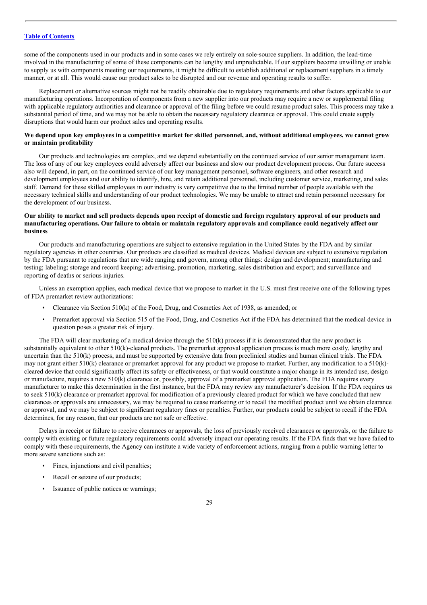some of the components used in our products and in some cases we rely entirely on sole-source suppliers. In addition, the lead-time involved in the manufacturing of some of these components can be lengthy and unpredictable. If our suppliers become unwilling or unable to supply us with components meeting our requirements, it might be difficult to establish additional or replacement suppliers in a timely manner, or at all. This would cause our product sales to be disrupted and our revenue and operating results to suffer.

Replacement or alternative sources might not be readily obtainable due to regulatory requirements and other factors applicable to our manufacturing operations. Incorporation of components from a new supplier into our products may require a new or supplemental filing with applicable regulatory authorities and clearance or approval of the filing before we could resume product sales. This process may take a substantial period of time, and we may not be able to obtain the necessary regulatory clearance or approval. This could create supply disruptions that would harm our product sales and operating results.

#### We depend upon key employees in a competitive market for skilled personnel, and, without additional employees, we cannot grow **or maintain profitability**

Our products and technologies are complex, and we depend substantially on the continued service of our senior management team. The loss of any of our key employees could adversely affect our business and slow our product development process. Our future success also will depend, in part, on the continued service of our key management personnel, software engineers, and other research and development employees and our ability to identify, hire, and retain additional personnel, including customer service, marketing, and sales staff. Demand for these skilled employees in our industry is very competitive due to the limited number of people available with the necessary technical skills and understanding of our product technologies. We may be unable to attract and retain personnel necessary for the development of our business.

#### Our ability to market and sell products depends upon receipt of domestic and foreign regulatory approval of our products and manufacturing operations. Our failure to obtain or maintain regulatory approvals and compliance could negatively affect our **business**

Our products and manufacturing operations are subject to extensive regulation in the United States by the FDA and by similar regulatory agencies in other countries. Our products are classified as medical devices. Medical devices are subject to extensive regulation by the FDA pursuant to regulations that are wide ranging and govern, among other things: design and development; manufacturing and testing; labeling; storage and record keeping; advertising, promotion, marketing, sales distribution and export; and surveillance and reporting of deaths or serious injuries.

Unless an exemption applies, each medical device that we propose to market in the U.S. must first receive one of the following types of FDA premarket review authorizations:

- Clearance via Section 510(k) of the Food, Drug, and Cosmetics Act of 1938, as amended; or
- Premarket approval via Section 515 of the Food, Drug, and Cosmetics Act if the FDA has determined that the medical device in question poses a greater risk of injury.

The FDA will clear marketing of a medical device through the  $510(k)$  process if it is demonstrated that the new product is substantially equivalent to other 510(k)-cleared products. The premarket approval application process is much more costly, lengthy and uncertain than the 510(k) process, and must be supported by extensive data from preclinical studies and human clinical trials. The FDA may not grant either 510(k) clearance or premarket approval for any product we propose to market. Further, any modification to a 510(k) cleared device that could significantly affect its safety or effectiveness, or that would constitute a major change in its intended use, design or manufacture, requires a new 510(k) clearance or, possibly, approval of a premarket approval application. The FDA requires every manufacturer to make this determination in the first instance, but the FDA may review any manufacturer's decision. If the FDA requires us to seek 510(k) clearance or premarket approval for modification of a previously cleared product for which we have concluded that new clearances or approvals are unnecessary, we may be required to cease marketing or to recall the modified product until we obtain clearance or approval, and we may be subject to significant regulatory fines or penalties. Further, our products could be subject to recall if the FDA determines, for any reason, that our products are not safe or effective.

Delays in receipt or failure to receive clearances or approvals, the loss of previously received clearances or approvals, or the failure to comply with existing or future regulatory requirements could adversely impact our operating results. If the FDA finds that we have failed to comply with these requirements, the Agency can institute a wide variety of enforcement actions, ranging from a public warning letter to more severe sanctions such as:

- Fines, injunctions and civil penalties;
- Recall or seizure of our products;
- Issuance of public notices or warnings;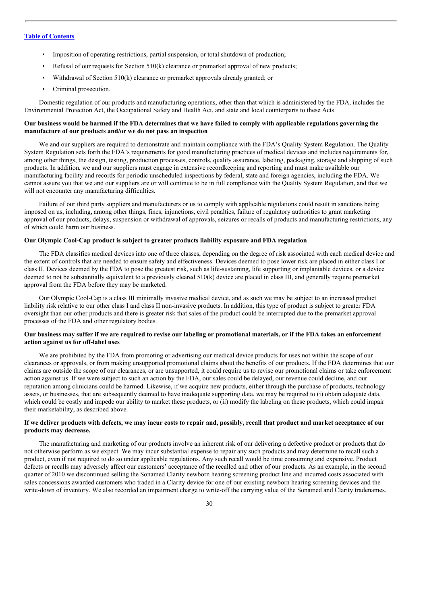- Imposition of operating restrictions, partial suspension, or total shutdown of production;
- Refusal of our requests for Section  $510(k)$  clearance or premarket approval of new products;
- Withdrawal of Section 510(k) clearance or premarket approvals already granted; or
- Criminal prosecution.

Domestic regulation of our products and manufacturing operations, other than that which is administered by the FDA, includes the Environmental Protection Act, the Occupational Safety and Health Act, and state and local counterparts to these Acts.

#### Our business would be harmed if the FDA determines that we have failed to comply with applicable regulations governing the **manufacture of our products and/or we do not pass an inspection**

We and our suppliers are required to demonstrate and maintain compliance with the FDA's Quality System Regulation. The Quality System Regulation sets forth the FDA's requirements for good manufacturing practices of medical devices and includes requirements for, among other things, the design, testing, production processes, controls, quality assurance, labeling, packaging, storage and shipping of such products. In addition, we and our suppliers must engage in extensive recordkeeping and reporting and must make available our manufacturing facility and records for periodic unscheduled inspections by federal, state and foreign agencies, including the FDA. We cannot assure you that we and our suppliers are or will continue to be in full compliance with the Quality System Regulation, and that we will not encounter any manufacturing difficulties.

Failure of our third party suppliers and manufacturers or us to comply with applicable regulations could result in sanctions being imposed on us, including, among other things, fines, injunctions, civil penalties, failure of regulatory authorities to grant marketing approval of our products, delays, suspension or withdrawal of approvals, seizures or recalls of products and manufacturing restrictions, any of which could harm our business.

#### **Our Olympic Cool-Cap product is subject to greater products liability exposure and FDA regulation**

The FDA classifies medical devices into one of three classes, depending on the degree of risk associated with each medical device and the extent of controls that are needed to ensure safety and effectiveness. Devices deemed to pose lower risk are placed in either class I or class II. Devices deemed by the FDA to pose the greatest risk, such as life-sustaining, life supporting or implantable devices, or a device deemed to not be substantially equivalent to a previously cleared 510(k) device are placed in class III, and generally require premarket approval from the FDA before they may be marketed.

Our Olympic Cool-Cap is a class III minimally invasive medical device, and as such we may be subject to an increased product liability risk relative to our other class I and class II non-invasive products. In addition, this type of product is subject to greater FDA oversight than our other products and there is greater risk that sales of the product could be interrupted due to the premarket approval processes of the FDA and other regulatory bodies.

#### Our business may suffer if we are required to revise our labeling or promotional materials, or if the FDA takes an enforcement **action against us for off-label uses**

We are prohibited by the FDA from promoting or advertising our medical device products for uses not within the scope of our clearances or approvals, or from making unsupported promotional claims about the benefits of our products. If the FDA determines that our claims are outside the scope of our clearances, or are unsupported, it could require us to revise our promotional claims or take enforcement action against us. If we were subject to such an action by the FDA, our sales could be delayed, our revenue could decline, and our reputation among clinicians could be harmed. Likewise, if we acquire new products, either through the purchase of products, technology assets, or businesses, that are subsequently deemed to have inadequate supporting data, we may be required to (i) obtain adequate data, which could be costly and impede our ability to market these products, or (ii) modify the labeling on these products, which could impair their marketability, as described above.

#### If we deliver products with defects, we may incur costs to repair and, possibly, recall that product and market acceptance of our **products may decrease.**

The manufacturing and marketing of our products involve an inherent risk of our delivering a defective product or products that do not otherwise perform as we expect. We may incur substantial expense to repair any such products and may determine to recall such a product, even if not required to do so under applicable regulations. Any such recall would be time consuming and expensive. Product defects or recalls may adversely affect our customers' acceptance of the recalled and other of our products. As an example, in the second quarter of 2010 we discontinued selling the Sonamed Clarity newborn hearing screening product line and incurred costs associated with sales concessions awarded customers who traded in a Clarity device for one of our existing newborn hearing screening devices and the write-down of inventory. We also recorded an impairment charge to write-off the carrying value of the Sonamed and Clarity tradenames.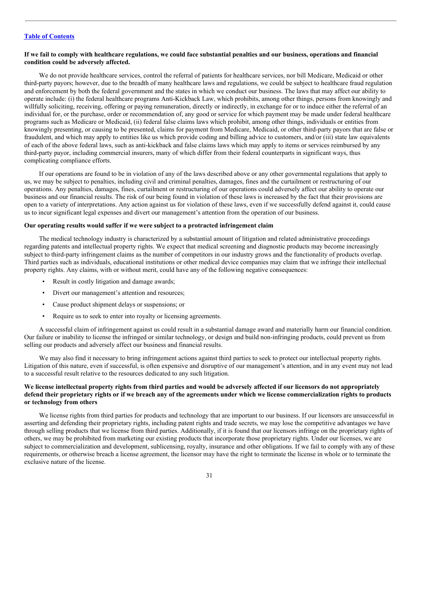#### If we fail to comply with healthcare regulations, we could face substantial penalties and our business, operations and financial **condition could be adversely affected.**

We do not provide healthcare services, control the referral of patients for healthcare services, nor bill Medicare, Medicaid or other third-party payors; however, due to the breadth of many healthcare laws and regulations, we could be subject to healthcare fraud regulation and enforcement by both the federal government and the states in which we conduct our business. The laws that may affect our ability to operate include: (i) the federal healthcare programs Anti-Kickback Law, which prohibits, among other things, persons from knowingly and willfully soliciting, receiving, offering or paying remuneration, directly or indirectly, in exchange for or to induce either the referral of an individual for, or the purchase, order or recommendation of, any good or service for which payment may be made under federal healthcare programs such as Medicare or Medicaid, (ii) federal false claims laws which prohibit, among other things, individuals or entities from knowingly presenting, or causing to be presented, claims for payment from Medicare, Medicaid, or other third-party payors that are false or fraudulent, and which may apply to entities like us which provide coding and billing advice to customers, and/or (iii) state law equivalents of each of the above federal laws, such as anti-kickback and false claims laws which may apply to items or services reimbursed by any third-party payor, including commercial insurers, many of which differ from their federal counterparts in significant ways, thus complicating compliance efforts.

If our operations are found to be in violation of any of the laws described above or any other governmental regulations that apply to us, we may be subject to penalties, including civil and criminal penalties, damages, fines and the curtailment or restructuring of our operations. Any penalties, damages, fines, curtailment or restructuring of our operations could adversely affect our ability to operate our business and our financial results. The risk of our being found in violation of these laws is increased by the fact that their provisions are open to a variety of interpretations. Any action against us for violation of these laws, even if we successfully defend against it, could cause us to incur significant legal expenses and divert our management's attention from the operation of our business.

#### **Our operating results would suffer if we were subject to a protracted infringement claim**

The medical technology industry is characterized by a substantial amount of litigation and related administrative proceedings regarding patents and intellectual property rights. We expect that medical screening and diagnostic products may become increasingly subject to third-party infringement claims as the number of competitors in our industry grows and the functionality of products overlap. Third parties such as individuals, educational institutions or other medical device companies may claim that we infringe their intellectual property rights. Any claims, with or without merit, could have any of the following negative consequences:

- Result in costly litigation and damage awards;
- Divert our management's attention and resources;
- Cause product shipment delays or suspensions; or
- Require us to seek to enter into royalty or licensing agreements.

A successful claim of infringement against us could result in a substantial damage award and materially harm our financial condition. Our failure or inability to license the infringed or similar technology, or design and build non-infringing products, could prevent us from selling our products and adversely affect our business and financial results.

We may also find it necessary to bring infringement actions against third parties to seek to protect our intellectual property rights. Litigation of this nature, even if successful, is often expensive and disruptive of our management's attention, and in any event may not lead to a successful result relative to the resources dedicated to any such litigation.

#### We license intellectual property rights from third parties and would be adversely affected if our licensors do not appropriately defend their proprietary rights or if we breach any of the agreements under which we license commercialization rights to products **or technology from others**

We license rights from third parties for products and technology that are important to our business. If our licensors are unsuccessful in asserting and defending their proprietary rights, including patent rights and trade secrets, we may lose the competitive advantages we have through selling products that we license from third parties. Additionally, if it is found that our licensors infringe on the proprietary rights of others, we may be prohibited from marketing our existing products that incorporate those proprietary rights. Under our licenses, we are subject to commercialization and development, sublicensing, royalty, insurance and other obligations. If we fail to comply with any of these requirements, or otherwise breach a license agreement, the licensor may have the right to terminate the license in whole or to terminate the exclusive nature of the license.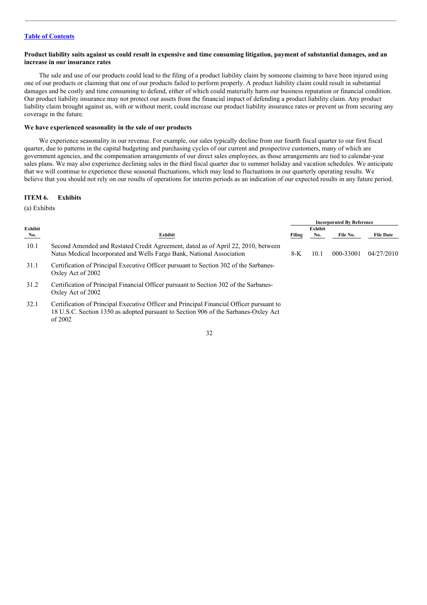#### Product liability suits against us could result in expensive and time consuming litigation, payment of substantial damages, and an **increase in our insurance rates**

The sale and use of our products could lead to the filing of a product liability claim by someone claiming to have been injured using one of our products or claiming that one of our products failed to perform properly. A product liability claim could result in substantial damages and be costly and time consuming to defend, either of which could materially harm our business reputation or financial condition. Our product liability insurance may not protect our assets from the financial impact of defending a product liability claim. Any product liability claim brought against us, with or without merit, could increase our product liability insurance rates or prevent us from securing any coverage in the future.

#### **We have experienced seasonality in the sale of our products**

We experience seasonality in our revenue. For example, our sales typically decline from our fourth fiscal quarter to our first fiscal quarter, due to patterns in the capital budgeting and purchasing cycles of our current and prospective customers, many of which are government agencies, and the compensation arrangements of our direct sales employees, as those arrangements are tied to calendar-year sales plans. We may also experience declining sales in the third fiscal quarter due to summer holiday and vacation schedules. We anticipate that we will continue to experience these seasonal fluctuations, which may lead to fluctuations in our quarterly operating results. We believe that you should not rely on our results of operations for interim periods as an indication of our expected results in any future period.

#### **ITEM 6. Exhibits**

(a) Exhibits

|                |                                                                                                                                                            |        | <b>Incorporated By Reference</b> |           |                  |
|----------------|------------------------------------------------------------------------------------------------------------------------------------------------------------|--------|----------------------------------|-----------|------------------|
| Exhibit<br>No. | Exhibit                                                                                                                                                    | Filing | Exhibit<br>No.                   | File No.  | <b>File Date</b> |
| 10.1           | Second Amended and Restated Credit Agreement, dated as of April 22, 2010, between<br>Natus Medical Incorporated and Wells Fargo Bank, National Association | 8-K    | 10.1                             | 000-33001 | 04/27/2010       |
| 211            |                                                                                                                                                            |        |                                  |           |                  |

- 31.1 Certification of Principal Executive Officer pursuant to Section 302 of the Sarbanes-Oxley Act of 2002
- 31.2 Certification of Principal Financial Officer pursuant to Section 302 of the Sarbanes-Oxley Act of 2002
- 32.1 Certification of Principal Executive Officer and Principal Financial Officer pursuant to 18 U.S.C. Section 1350 as adopted pursuant to Section 906 of the Sarbanes-Oxley Act of 2002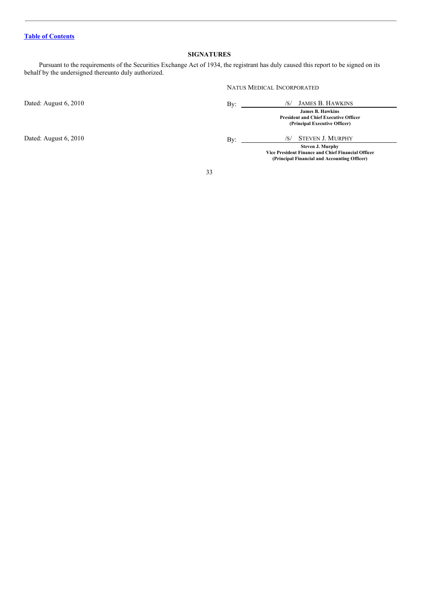#### **SIGNATURES**

Pursuant to the requirements of the Securities Exchange Act of 1934, the registrant has duly caused this report to be signed on its behalf by the undersigned thereunto duly authorized.

Dated: August 6, 2010 By:

Dated: August 6, 2010 By:

NATUS MEDICAL INCORPORATED

/S/ JAMES B. HAWKINS

**James B. Hawkins President and Chief Executive Officer (Principal Executive Officer)**

/S/ STEVEN J. MURPHY **Steven J. Murphy**

**Vice President Finance and Chief Financial Officer (Principal Financial and Accounting Officer)**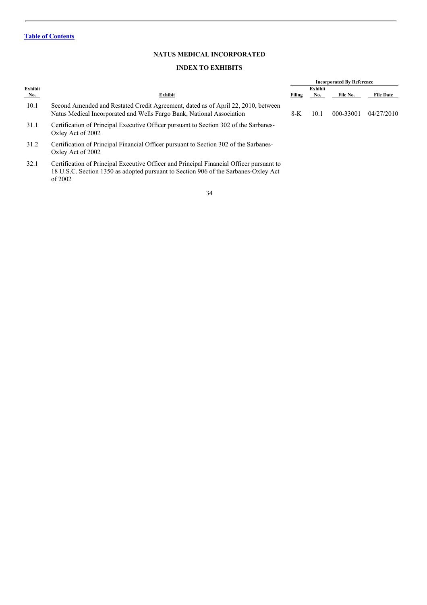## **NATUS MEDICAL INCORPORATED**

## **INDEX TO EXHIBITS**

|                |                                                                                                                                                            |        | <b>Incorporated By Reference</b> |           |                  |
|----------------|------------------------------------------------------------------------------------------------------------------------------------------------------------|--------|----------------------------------|-----------|------------------|
| Exhibit<br>No. | Exhibit                                                                                                                                                    | Filing | Exhibit<br>No.                   | File No.  | <b>File Date</b> |
| 10.1           | Second Amended and Restated Credit Agreement, dated as of April 22, 2010, between<br>Natus Medical Incorporated and Wells Fargo Bank, National Association | 8-K    | 10.1                             | 000-33001 | 04/27/2010       |
| 31.1           | Certification of Principal Executive Officer pursuant to Section 302 of the Sarbanes-<br>Oxley Act of 2002                                                 |        |                                  |           |                  |
| 31.2           | Certification of Principal Financial Officer pursuant to Section 302 of the Sarbanes-<br>Oxley Act of 2002                                                 |        |                                  |           |                  |

32.1 Certification of Principal Executive Officer and Principal Financial Officer pursuant to 18 U.S.C. Section 1350 as adopted pursuant to Section 906 of the Sarbanes-Oxley Act of 2002

| ٠<br>I<br>×  |  |
|--------------|--|
| ۰.<br>$\sim$ |  |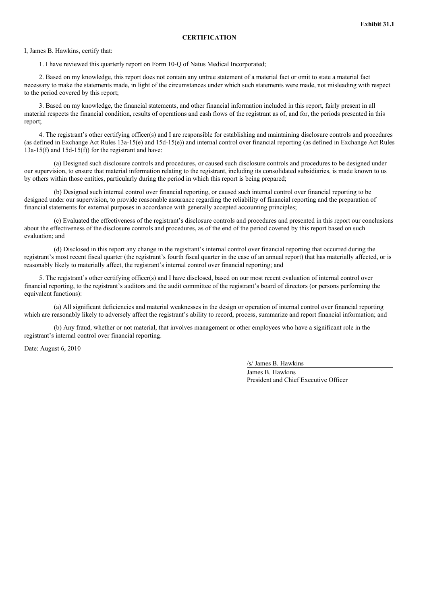## **CERTIFICATION**

#### I, James B. Hawkins, certify that:

1. I have reviewed this quarterly report on Form 10-Q of Natus Medical Incorporated;

2. Based on my knowledge, this report does not contain any untrue statement of a material fact or omit to state a material fact necessary to make the statements made, in light of the circumstances under which such statements were made, not misleading with respect to the period covered by this report;

3. Based on my knowledge, the financial statements, and other financial information included in this report, fairly present in all material respects the financial condition, results of operations and cash flows of the registrant as of, and for, the periods presented in this report;

4. The registrant's other certifying officer(s) and I are responsible for establishing and maintaining disclosure controls and procedures (as defined in Exchange Act Rules 13a-15(e) and 15d-15(e)) and internal control over financial reporting (as defined in Exchange Act Rules 13a-15(f) and 15d-15(f)) for the registrant and have:

(a) Designed such disclosure controls and procedures, or caused such disclosure controls and procedures to be designed under our supervision, to ensure that material information relating to the registrant, including its consolidated subsidiaries, is made known to us by others within those entities, particularly during the period in which this report is being prepared;

(b) Designed such internal control over financial reporting, or caused such internal control over financial reporting to be designed under our supervision, to provide reasonable assurance regarding the reliability of financial reporting and the preparation of financial statements for external purposes in accordance with generally accepted accounting principles;

(c) Evaluated the effectiveness of the registrant's disclosure controls and procedures and presented in this report our conclusions about the effectiveness of the disclosure controls and procedures, as of the end of the period covered by this report based on such evaluation; and

(d) Disclosed in this report any change in the registrant's internal control over financial reporting that occurred during the registrant's most recent fiscal quarter (the registrant's fourth fiscal quarter in the case of an annual report) that has materially affected, or is reasonably likely to materially affect, the registrant's internal control over financial reporting; and

5. The registrant's other certifying officer(s) and I have disclosed, based on our most recent evaluation of internal control over financial reporting, to the registrant's auditors and the audit committee of the registrant's board of directors (or persons performing the equivalent functions):

(a) All significant deficiencies and material weaknesses in the design or operation of internal control over financial reporting which are reasonably likely to adversely affect the registrant's ability to record, process, summarize and report financial information; and

(b) Any fraud, whether or not material, that involves management or other employees who have a significant role in the registrant's internal control over financial reporting.

Date: August 6, 2010

/s/ James B. Hawkins James B. Hawkins President and Chief Executive Officer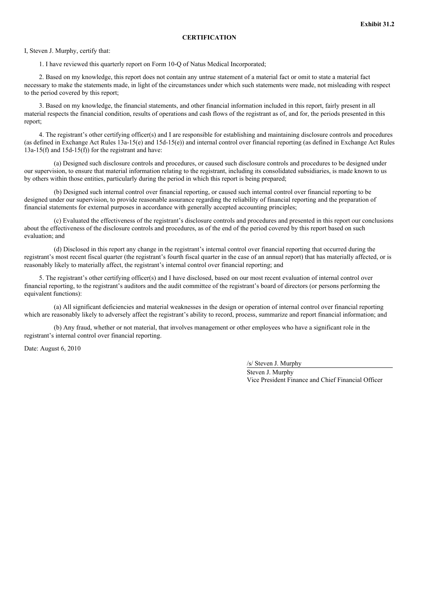## **CERTIFICATION**

#### I, Steven J. Murphy, certify that:

1. I have reviewed this quarterly report on Form 10-Q of Natus Medical Incorporated;

2. Based on my knowledge, this report does not contain any untrue statement of a material fact or omit to state a material fact necessary to make the statements made, in light of the circumstances under which such statements were made, not misleading with respect to the period covered by this report;

3. Based on my knowledge, the financial statements, and other financial information included in this report, fairly present in all material respects the financial condition, results of operations and cash flows of the registrant as of, and for, the periods presented in this report;

4. The registrant's other certifying officer(s) and I are responsible for establishing and maintaining disclosure controls and procedures (as defined in Exchange Act Rules 13a-15(e) and 15d-15(e)) and internal control over financial reporting (as defined in Exchange Act Rules 13a-15(f) and 15d-15(f)) for the registrant and have:

(a) Designed such disclosure controls and procedures, or caused such disclosure controls and procedures to be designed under our supervision, to ensure that material information relating to the registrant, including its consolidated subsidiaries, is made known to us by others within those entities, particularly during the period in which this report is being prepared;

(b) Designed such internal control over financial reporting, or caused such internal control over financial reporting to be designed under our supervision, to provide reasonable assurance regarding the reliability of financial reporting and the preparation of financial statements for external purposes in accordance with generally accepted accounting principles;

(c) Evaluated the effectiveness of the registrant's disclosure controls and procedures and presented in this report our conclusions about the effectiveness of the disclosure controls and procedures, as of the end of the period covered by this report based on such evaluation; and

(d) Disclosed in this report any change in the registrant's internal control over financial reporting that occurred during the registrant's most recent fiscal quarter (the registrant's fourth fiscal quarter in the case of an annual report) that has materially affected, or is reasonably likely to materially affect, the registrant's internal control over financial reporting; and

5. The registrant's other certifying officer(s) and I have disclosed, based on our most recent evaluation of internal control over financial reporting, to the registrant's auditors and the audit committee of the registrant's board of directors (or persons performing the equivalent functions):

(a) All significant deficiencies and material weaknesses in the design or operation of internal control over financial reporting which are reasonably likely to adversely affect the registrant's ability to record, process, summarize and report financial information; and

(b) Any fraud, whether or not material, that involves management or other employees who have a significant role in the registrant's internal control over financial reporting.

Date: August 6, 2010

/s/ Steven J. Murphy

Steven J. Murphy Vice President Finance and Chief Financial Officer